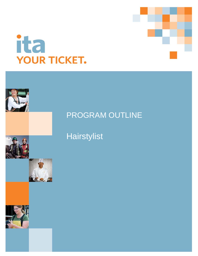





# Hairstylist

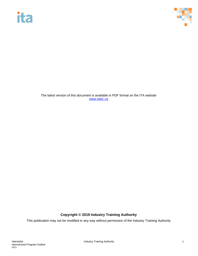



The latest version of this document is available in PDF format on the ITA website [www.itabc.ca](http://www.itabc.ca/)

## **Copyright © 2019 Industry Training Authority**

This publication may not be modified in any way without permission of the Industry Training Authority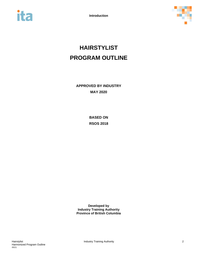



# **HAIRSTYLIST PROGRAM OUTLINE**

**APPROVED BY INDUSTRY MAY 2020**

> **BASED ON RSOS 2018**

**Developed by Industry Training Authority Province of British Columbia**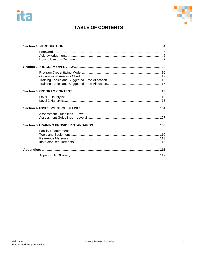



# **TABLE OF CONTENTS**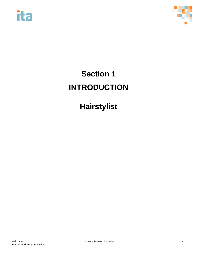



# <span id="page-4-0"></span>**Section 1 INTRODUCTION**

# **Hairstylist**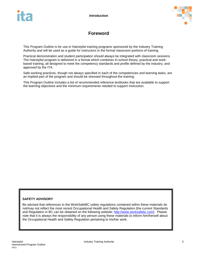

# **Foreword**

<span id="page-5-0"></span>This Program Outline is for use in Hairstylist training programs sponsored by the Industry Training Authority and will be used as a guide for instructors in the formal classroom portions of training.

Practical demonstration and student participation should always be integrated with classroom sessions. The Hairstylist program is delivered in a format which combines in-school theory, practical and workbased training, all designed to meet the competency standards and profile defined by the industry, and approved by the ITA.

Safe working practices, though not always specified in each of the competencies and learning tasks, are an implied part of the program and should be stressed throughout the training.

This Program Outline includes a list of recommended reference textbooks that are available to support the learning objectives and the minimum requirements needed to support instruction.

## **SAFETY ADVISORY**

Be advised that references to the WorkSafeBC safety regulations contained within these materials do not/may not reflect the most recent Occupational Health and Safety Regulation (the current Standards and Regulation in BC can be obtained on the following website: [http://www.worksafebc.com\)](http://www.worksafebc.com/). Please note that it is always the responsibility of any person using these materials to inform him/herself about the Occupational Health and Safety Regulation pertaining to his/her work.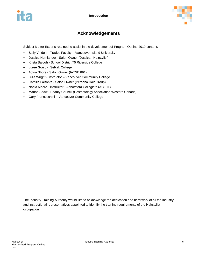

# **Acknowledgements**

<span id="page-6-0"></span>Subject Matter Experts retained to assist in the development of Program Outline 2019 content:

- Sally Vinden Trades Faculty Vancouver Island University
- Jessica Nemlander Salon Owner (Jessica Hairstylist)
- Krista Balogh School District 75 Riverside College
- Luree Gould Selkirk College
- Adina Shore Salon Owner (IATSE 891)
- Julie Wright Instructor Vancouver Community College
- Camille LaBonte Salon Owner (Persona Hair Group)
- Nadia Moore Instructor Abbotsford Collegiate (ACE IT)
- Marion Shaw Beauty Council (Cosmetology Association Western Canada)
- Gary Franceschini Vancouver Community College

The Industry Training Authority would like to acknowledge the dedication and hard work of all the industry and instructional representatives appointed to identify the training requirements of the Hairstylist occupation.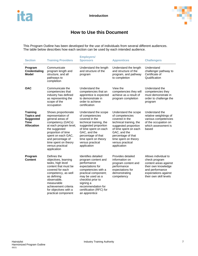

# <span id="page-7-0"></span>**How to Use this Document**

This Program Outline has been developed for the use of individuals from several different audiences. The table below describes how each section can be used by each intended audience.

| <b>Section</b>                                                                               | <b>Training Providers</b>                                                                                                                                                                                                                                | <b>Employers/</b><br><b>Sponsors</b>                                                                                                                                                                                                                  | <b>Apprentices</b>                                                                                                                                                                                                                     | <b>Challengers</b>                                                                                                                                         |
|----------------------------------------------------------------------------------------------|----------------------------------------------------------------------------------------------------------------------------------------------------------------------------------------------------------------------------------------------------------|-------------------------------------------------------------------------------------------------------------------------------------------------------------------------------------------------------------------------------------------------------|----------------------------------------------------------------------------------------------------------------------------------------------------------------------------------------------------------------------------------------|------------------------------------------------------------------------------------------------------------------------------------------------------------|
| Program<br><b>Credentialing</b><br><b>Model</b>                                              | Communicate<br>program length and<br>structure, and all<br>pathways to<br>completion                                                                                                                                                                     | Understand the length<br>and structure of the<br>program                                                                                                                                                                                              | Understand the length<br>and structure of the<br>program, and pathway<br>to completion                                                                                                                                                 | Understand<br>challenger pathway to<br>Certificate of<br>Qualification                                                                                     |
| <b>OAC</b>                                                                                   | Communicate the<br>competencies that<br>industry has defined<br>as representing the<br>scope of the<br>occupation                                                                                                                                        | Understand the<br>competencies that an<br>apprentice is expected<br>to demonstrate in<br>order to achieve<br>certification                                                                                                                            | View the<br>competencies they will<br>achieve as a result of<br>program completion                                                                                                                                                     | Understand the<br>competencies they<br>must demonstrate in<br>order to challenge the<br>program                                                            |
| <b>Training</b><br><b>Topics and</b><br><b>Suggested</b><br><b>Time</b><br><b>Allocation</b> | Shows proportionate<br>representation of<br>general areas of<br>competency (GACs)<br>at each program level,<br>the suggested<br>proportion of time<br>spent on each GAC,<br>and percentage of<br>time spent on theory<br>versus practical<br>application | Understand the scope<br>of competencies<br>covered in the<br>technical training, the<br>suggested proportion<br>of time spent on each<br>GAC, and the<br>percentage of that<br>time spent on theory<br>versus practical<br>application                | Understand the scope<br>of competencies<br>covered in the<br>technical training, the<br>suggested proportion<br>of time spent on each<br>GAC, and the<br>percentage of that<br>time spent on theory<br>versus practical<br>application | Understand the<br>relative weightings of<br>various competencies<br>of the occupation on<br>which assessment is<br>based                                   |
| Program<br><b>Content</b>                                                                    | Defines the<br>objectives, learning<br>tasks, high level<br>content that must be<br>covered for each<br>competency, as well<br>as defining<br>observable,<br>measurable<br>achievement criteria<br>for objectives with a<br>practical component          | Identifies detailed<br>program content and<br>performance<br>expectations for<br>competencies with a<br>practical component;<br>may be used as a<br>checklist prior to<br>signing a<br>recommendation for<br>certification (RFC) for<br>an apprentice | Provides detailed<br>information on<br>program content and<br>performance<br>expectations for<br>demonstrating<br>competency                                                                                                           | Allows individual to<br>check program<br>content areas against<br>their own knowledge<br>and performance<br>expectations against<br>their own skill levels |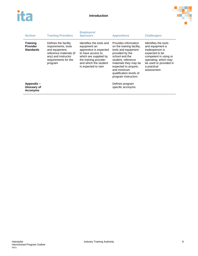



| <b>Section</b>                                         | <b>Training Providers</b>                                                                                                                          | <b>Employers/</b><br><b>Sponsors</b>                                                                                                                                                      | <b>Apprentices</b>                                                                                                                                                                                                                                    | <b>Challengers</b>                                                                                                                                                                   |
|--------------------------------------------------------|----------------------------------------------------------------------------------------------------------------------------------------------------|-------------------------------------------------------------------------------------------------------------------------------------------------------------------------------------------|-------------------------------------------------------------------------------------------------------------------------------------------------------------------------------------------------------------------------------------------------------|--------------------------------------------------------------------------------------------------------------------------------------------------------------------------------------|
| <b>Training</b><br><b>Provider</b><br><b>Standards</b> | Defines the facility<br>requirements, tools<br>and equipment.<br>reference materials (if<br>any) and instructor<br>requirements for the<br>program | Identifies the tools and<br>equipment an<br>apprentice is expected<br>to have access to:<br>which are supplied by<br>the training provider<br>and which the student<br>is expected to own | Provides information<br>on the training facility,<br>tools and equipment<br>provided by the<br>school and the<br>student. reference<br>materials they may be<br>expected to acquire.<br>and minimum<br>qualification levels of<br>program instructors | Identifies the tools<br>and equipment a<br>tradesperson is<br>expected to be<br>competent in using or<br>operating; which may<br>be used or provided in<br>a practical<br>assessment |
| Appendix -<br>Glossary of<br><b>Acronyms</b>           |                                                                                                                                                    |                                                                                                                                                                                           | Defines program<br>specific acronyms                                                                                                                                                                                                                  |                                                                                                                                                                                      |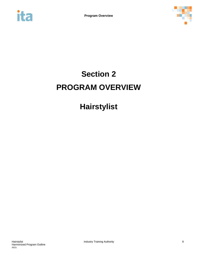<span id="page-9-0"></span>



# **Section 2 PROGRAM OVERVIEW**

# **Hairstylist**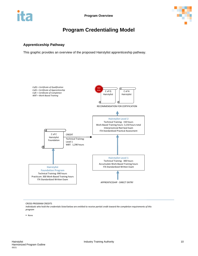

# **Program Credentialing Model**

## <span id="page-10-0"></span>**Apprenticeship Pathway**

This graphic provides an overview of the proposed Hairstylist apprenticeship pathway.



CROSS-PROGRAM CREDITS

*Individuals who hold the credentials listed below are entitled to receive partial credit toward the completion requirements of this program*

None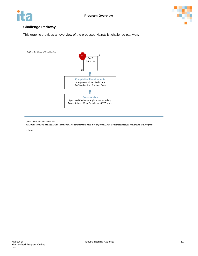



## **Challenge Pathway**

This graphic provides an overview of the proposed Hairstylist challenge pathway.



#### CREDIT FOR PRIOR LEARNING

*Individuals who hold the credentials listed below are considered to have met or partially met the prerequisites for challenging this program*

None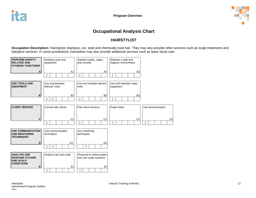

# **Occupational Analysis Chart**

## **HAIRSTYLIST**

**Occupation Description:** Hairstylists shampoo, cut, style and chemically treat hair. They may also provide other services such as scalp treatments and hairpiece services. In some jurisdictions, hairstylists may also provide additional services such as basic facial care.

<span id="page-12-0"></span>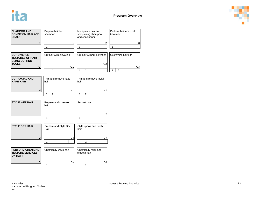



| <b>SHAMPOO AND</b><br><b>CONDITION HAIR AND</b><br><b>SCALP</b>                       | Prepare hair for<br>shampoo           | Manipulate hair and<br>scalp using shampoo<br>and conditioner | Perform hair and scalp<br>treatment              |  |  |
|---------------------------------------------------------------------------------------|---------------------------------------|---------------------------------------------------------------|--------------------------------------------------|--|--|
| F                                                                                     | F <sub>1</sub>                        | F <sub>2</sub>                                                | F <sub>3</sub>                                   |  |  |
|                                                                                       | $\mathbf{1}$                          | $\mathbf{1}$                                                  | $\mathbf{1}$                                     |  |  |
| <b>CUT DIVERSE</b><br><b>TEXTURES OF HAIR</b><br><b>USING CUTTING</b><br><b>TOOLS</b> | Cut hair with elevation               | Cut hair without elevation<br>G <sub>2</sub>                  | Customize haircuts                               |  |  |
| G                                                                                     | G <sub>1</sub><br>$\overline{2}$<br>1 | $\overline{2}$<br>1                                           | G <sub>3</sub><br>$\overline{2}$<br>$\mathbf{1}$ |  |  |
|                                                                                       |                                       |                                                               |                                                  |  |  |
| <b>CUT FACIAL AND</b><br><b>NAPE HAIR</b>                                             | Trim and remove nape<br>hair          | Trim and remove facial<br>hair                                |                                                  |  |  |
| н                                                                                     | H1                                    | H2                                                            |                                                  |  |  |
|                                                                                       | 2<br>1                                | 1<br>$\overline{2}$                                           |                                                  |  |  |
| <b>STYLE WET HAIR</b>                                                                 | Prepare and style wet<br>hair         | Set wet hair                                                  |                                                  |  |  |
|                                                                                       | $\vert$ 1                             | 12                                                            |                                                  |  |  |
|                                                                                       | $\mathbf{1}$                          | $\mathbf{1}$                                                  |                                                  |  |  |
| <b>STYLE DRY HAIR</b>                                                                 | Prepare and Style Dry<br>Hair         | Style updos and finish<br>hair                                |                                                  |  |  |
| J                                                                                     | J <sub>1</sub>                        | J <sub>2</sub>                                                |                                                  |  |  |
|                                                                                       | 1                                     | $\overline{2}$                                                |                                                  |  |  |
| <b>PERFORM CHEMICAL</b><br><b>TEXTURE SERVICES</b><br><b>ON HAIR</b>                  | Chemically wave hair                  | Chemically relax and<br>smooth hair                           |                                                  |  |  |
| Κ                                                                                     | K1<br>1                               | K <sub>2</sub><br>2                                           |                                                  |  |  |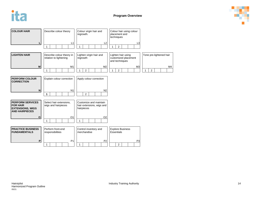



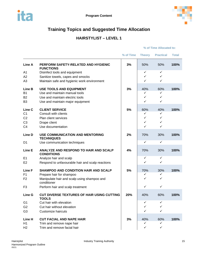

# <span id="page-15-0"></span>**Training Topics and Suggested Time Allocation**

# **HAIRSTYLIST – LEVEL 1**

## **% of Time Theory Practical Total Line A PERFORM SAFETY-RELATED AND HYGIENIC FUNCTIONS 3%** 50% 50% **100%** A1 Disinfect tools and equipment the state of the state of the state of the state of the state of the state of the state of the state of the state of the state of the state of the state of the state of the state of the sta A2 Sanitize towels, capes and smocks and the state of the state of the state of the state of the state of the state of the state of the state of the state of the state of the state of the state of the state of the state of A3 Maintain safe and hygienic work environment and the state of the state of the state of the state of the state of the state of the state of the state of the state of the state of the state of the state of the state of th **Line B USE TOOLS AND EQUIPMENT 3%** 40% 60% **100%** B1 Use and maintain manual tools **EXALL SIMUS DESIGNAL SIMUS DESIGNAL SIMUS DESIGNAL SIMUS** B2 Use and maintain electric tools B3 Use and maintain major equipment the state of the state of the state of the state of the state of the state of the state of the state of the state of the state of the state of the state of the state of the state of the **Line C CLIENT SERVICE 5%** 60% 40% **100%**  $C1$  Consult with clients  $\downarrow$   $\downarrow$   $\downarrow$ C2 Plan client services  $C3$  Drape client  $\checkmark$ C4 Use documentation **Line D USE COMMUNICATION AND MENTORING TECHNIQUES 2%** 70% 30% **100%** D1 Use communication techniques and the state of the state of the state of the state of the state of the state of the state of the state of the state of the state of the state of the state of the state of the state of the **Line E ANALYZE AND RESPOND TO HAIR AND SCALP CONDITIONS 4%** 70% 30% **100%** E1 Analyze hair and scalp entitled by the state of the state of the state of the state of the state of the state of the state of the state of the state of the state of the state of the state of the state of the state of th E2 Respond to unfavourable hair and scalp reactions  $\sqrt{2}$ **Line F SHAMPOO AND CONDITION HAIR AND SCALP 5%** 70% 30% **100%** F1 Prepare hair for shampoo example and the state of the state of the state of the state of the state of the state of the state of the state of the state of the state of the state of the state of the state of the state of F2 Manipulate hair and scalp using shampoo and conditioner  $\checkmark$ F3 Perform hair and scalp treatment  $\begin{array}{ccc} \hline \end{array}$   $\begin{array}{ccc} \hline \end{array}$ **Line G CUT DIVERSE TEXTURES OF HAIR USING CUTTING TOOLS 20%** 40% 60% **100%** G1 Cut hair with elevation  $\sqrt{a}$ G2 Cut hair without elevation G3 Customize haircuts in the set of the set of the set of the set of the set of the set of the set of the set of the set of the set of the set of the set of the set of the set of the set of the set of the set of the set o **Line H CUT FACIAL AND NAPE HAIR 3%** 40% 60% **100%** H<sub>1</sub> Trim and remove nape hair

**% of Time Allocated to:**

H2 Trim and remove facial hair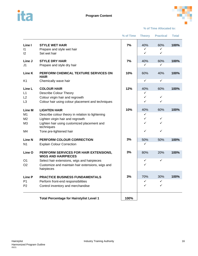



#### **% of Time Allocated to:**

|                    |                                                                     | % of Time | <b>Theory</b>                | <b>Practical</b>  | Total |
|--------------------|---------------------------------------------------------------------|-----------|------------------------------|-------------------|-------|
| Line I             | <b>STYLE WET HAIR</b>                                               | 7%        | 40%                          | 60%               | 100%  |
| $\mathsf{I}$<br>12 | Prepare and style wet hair<br>Set wet hair                          |           | ✓<br>✓                       | ✓<br>✓            |       |
| Line J             | <b>STYLE DRY HAIR</b>                                               | 7%        | 40%                          | 60%               | 100%  |
| J1                 | Prepare and style dry hair                                          |           | ✓                            | ✓                 |       |
| <b>Line K</b>      | PERFORM CHEMICAL TEXTURE SERVICES ON<br><b>HAIR</b>                 | 10%       | 60%                          | 40%               | 100%  |
| K <sub>1</sub>     | Chemically wave hair                                                |           | $\checkmark$                 | $\checkmark$      |       |
| Line L             | <b>COLOUR HAIR</b>                                                  | 12%       | 40%                          | 60%               | 100%  |
| L1                 | <b>Describe Colour Theory</b>                                       |           | ✓                            |                   |       |
| L2                 | Colour virgin hair and regrowth                                     |           | $\checkmark$<br>$\checkmark$ | $\checkmark$<br>✓ |       |
| L <sub>3</sub>     | Colour hair using colour placement and techniques                   |           |                              |                   |       |
| <b>Line M</b>      | <b>LIGHTEN HAIR</b>                                                 | 10%       | 40%                          | 60%               | 100%  |
| M <sub>1</sub>     | Describe colour theory in relation to lightening                    |           | ✓                            |                   |       |
| M <sub>2</sub>     | Lighten virgin hair and regrowth                                    |           | $\checkmark$                 | $\checkmark$      |       |
| M <sub>3</sub>     | Lighten hair using customized placement and<br>techniques           |           | $\checkmark$                 | $\checkmark$      |       |
| M4                 | Tone pre-lightened hair                                             |           | ✓                            | ✓                 |       |
| Line N             | PERFORM COLOUR CORRECTION                                           | 3%        | 50%                          | 50%               | 100%  |
| N <sub>1</sub>     | <b>Explain Colour Correction</b>                                    |           | $\checkmark$                 |                   |       |
| Line O             | PERFORM SERVICES FOR HAIR EXTENSIONS,<br><b>WIGS AND HAIRPIECES</b> | 3%        | 80%                          | 20%               | 100%  |
| O <sub>1</sub>     | Select hair extensions, wigs and hairpieces                         |           | ✓                            | $\checkmark$      |       |
| O <sub>2</sub>     | Customize and maintain hair extensions, wigs and<br>hairpieces      |           | ✓                            |                   |       |
| <b>Line P</b>      | <b>PRACTICE BUSINESS FUNDAMENTALS</b>                               | 3%        | 70%                          | 30%               | 100%  |
| P <sub>1</sub>     | Perform front-end responsibilities                                  |           | ✓                            | ✓                 |       |
| P <sub>2</sub>     | Control inventory and merchandise                                   |           | $\checkmark$                 | $\checkmark$      |       |
|                    | <b>Total Percentage for Hairstylist Level 1</b>                     | 100%      |                              |                   |       |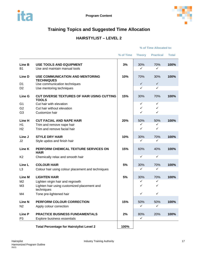

# <span id="page-17-0"></span>**Training Topics and Suggested Time Allocation**

# **HAIRSTYLIST – LEVEL 2**

#### **% of Time Allocated to:**

|                          |                                                                         | % of Time | <b>Theory</b> | <b>Practical</b>    | <b>Total</b> |
|--------------------------|-------------------------------------------------------------------------|-----------|---------------|---------------------|--------------|
| Line B<br><b>B1</b>      | <b>USE TOOLS AND EQUIPMENT</b><br>Use and maintain manual tools         | 3%        | 30%<br>✓      | 70%<br>$\checkmark$ | 100%         |
| Line D                   | <b>USE COMMUNICATION AND MENTORING</b><br><b>TECHNIQUES</b>             | 10%       | 70%           | 30%                 | 100%         |
| D <sub>1</sub>           | Use communication techniques                                            |           | ✓             | $\checkmark$        |              |
| D <sub>2</sub>           | Use mentoring techniques                                                |           | ✓             | $\checkmark$        |              |
| Line G                   | <b>CUT DIVERSE TEXTURES OF HAIR USING CUTTING</b><br><b>TOOLS</b>       | 15%       | 30%           | 70%                 | 100%         |
| G <sub>1</sub>           | Cut hair with elevation                                                 |           | ✓             | $\checkmark$        |              |
| G <sub>2</sub>           | Cut hair without elevation                                              |           | ✓             | $\checkmark$        |              |
| G <sub>3</sub>           | Customize hair                                                          |           | ✓             | ✓                   |              |
| Line H                   | <b>CUT FACIAL AND NAPE HAIR</b>                                         | 20%       | 50%           | 50%                 | 100%         |
| H1                       | Trim and remove nape hair                                               |           | ✓             | ✓                   |              |
| H <sub>2</sub>           | Trim and remove facial hair                                             |           | ✓             | ✓                   |              |
| Line J                   | <b>STYLE DRY HAIR</b>                                                   | 10%       | 30%           | 70%                 | 100%         |
| J2                       | Style updos and finish hair                                             |           | ✓             | $\checkmark$        |              |
| Line K                   | PERFORM CHEMICAL TEXTURE SERVICES ON<br><b>HAIR</b>                     | 15%       | 60%           | 40%                 | 100%         |
| K <sub>2</sub>           | Chemically relax and smooth hair                                        |           | ✓             | $\checkmark$        |              |
| Line L<br>L <sub>3</sub> | <b>COLOUR HAIR</b><br>Colour hair using colour placement and techniques | 5%        | 30%<br>✓      | 70%<br>$\checkmark$ | 100%         |
| <b>Line M</b>            | <b>LIGHTEN HAIR</b>                                                     | 5%        | 30%           | 70%                 | 100%         |
| M <sub>2</sub>           | Lighten virgin hair and regrowth                                        |           | ✓             | $\checkmark$        |              |
| M <sub>3</sub>           | Lighten hair using customized placement and<br>techniques               |           | ✓             | $\checkmark$        |              |
| M4                       | Tone pre-lightened hair                                                 |           | ✓             | $\checkmark$        |              |
| <b>Line N</b>            | PERFORM COLOUR CORRECTION                                               | 15%       | 50%           | 50%                 | 100%         |
| N <sub>2</sub>           | Apply colour correction                                                 |           | ✓             | ✓                   |              |
| Line P                   | <b>PRACTICE BUSINESS FUNDAMENTALS</b>                                   | 2%        | 80%           | 20%                 | 100%         |
| P <sub>3</sub>           | Explore business essentials                                             |           | $\checkmark$  |                     |              |
|                          |                                                                         |           |               |                     |              |
|                          | <b>Total Percentage for Hairstylist Level 2</b>                         | 100%      |               |                     |              |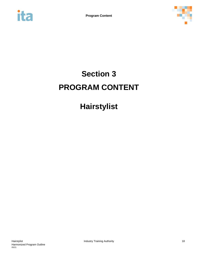<span id="page-18-0"></span>



# **Section 3 PROGRAM CONTENT**

# **Hairstylist**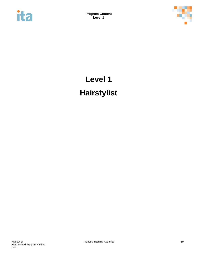<span id="page-19-0"></span>



# **Level 1 Hairstylist**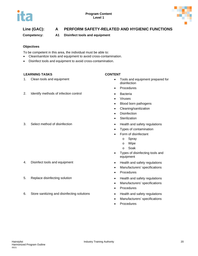

# **Line (GAC): A PERFORM SAFETY-RELATED AND HYGIENIC FUNCTIONS**

**Competency: A1 Disinfect tools and equipment**

#### **Objectives**

To be competent in this area, the individual must be able to:

- Clean/sanitize tools and equipment to avoid cross-contamination.
- Disinfect tools and equipment to avoid cross-contamination.

#### **LEARNING TASKS CONTENT**

### 2. Identify methods of infection control **•** Bacteria

3. Select method of disinfection **•** Health and safety regulations

#### 4. Disinfect tools and equipment • Health and safety regulations

- 5. Replace disinfecting solution **Fig. 2** 6 Fig. 2 Fig. 2 Fig. 2 Fig. 2 Fig. 2 Fig. 2 Fig. 2 Fig. 2 Fig. 2 Fig. 2 Fig. 2 Fig. 2 Fig. 2 Fig. 2 Fig. 2 Fig. 2 Fig. 2 Fig. 2 Fig. 2 Fig. 2 Fig. 2 Fig. 2 Fig. 2 Fig. 2 Fig. 2 Fig
- 6. Store sanitizing and disinfecting solutions **•** Health and safety regulations

- 1. Clean tools and equipment **Exercise 3** and equipment prepared for disinfection
	- Procedures
	-
	- **Viruses**
	- Blood born pathogens
	- Cleaning/sanitization
	- Disinfection
	- Sterilization
	-
	- Types of contamination
	- Form of disinfectant
		- o Spray
		- o Wipe
		- o Soak
	- Types of disinfecting tools and equipment
	-
	- Manufacturers' specifications
	- Procedures
	-
	- Manufacturers' specifications
	- Procedures
	-
	- Manufacturers' specifications
	- **Procedures**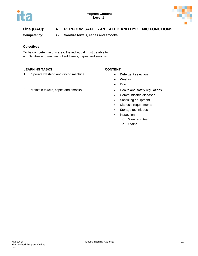



# **Line (GAC): A PERFORM SAFETY-RELATED AND HYGIENIC FUNCTIONS**

**Competency: A2 Sanitize towels, capes and smocks**

#### **Objectives**

To be competent in this area, the individual must be able to:

• Sanitize and maintain client towels, capes and smocks.

#### **LEARNING TASKS CONTENT**

1. Operate washing and drying machine **•** Detergent selection

#### 2. Maintain towels, capes and smocks **•** Health and safety regulations

- 
- Washing
- Drying
- 
- Communicable diseases
- Sanitizing equipment
- Disposal requirements
- Storage techniques
- Inspection
	- o Wear and tear
	- o Stains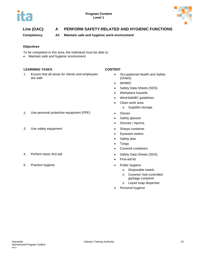

# **Line (GAC): A PERFORM SAFETY-RELATED AND HYGIENIC FUNCTIONS**

**Competency: A3 Maintain safe and hygienic work environment**

### **Objectives**

To be competent in this area, the individual must be able to:

• Maintain safe and hygienic environment.

#### **LEARNING TASKS CONTENT**

1. Ensure that all areas for clients and employees are safe

- Occupational Health and Safety (OH&S)
- WHMIS
- Safety Data Sheets (SDS)
- Workplace hazards
- WorkSafeBC guidelines
- Clean work area
	- o Supplies storage
- 
- Safety glasses
- Smocks / Aprons
- 
- Eyewash station
- Safety plan
- Tongs
- Covered containers
- 4. Perform basic first aid **•** Safety Data Sheets (SDS)
	- First-aid kit
	- - o Disposable towels
		- o Covered, foot-controlled garbage container
		- o Liquid soap dispenser
	- Personal hygiene
- 2. Use personal protective equipment (PPE) Gloves
- 3. Use safety equipment **•** Sharps container
- 
- 5. Practice hygiene **•** Public hygiene **•** Public hygiene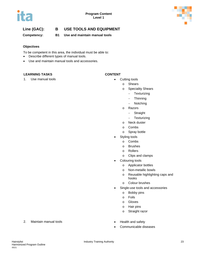



## **Line (GAC): B USE TOOLS AND EQUIPMENT**

**Competency: B1 Use and maintain manual tools**

#### **Objectives**

To be competent in this area, the individual must be able to:

- Describe different types of manual tools.
- Use and maintain manual tools and accessories.

#### **LEARNING TASKS CONTENT**

1. Use manual tools **be a set of the Cutting tools • Cutting tools** 

- - o Shears
		- o Speciality Shears
			- − Texturizing
			- − Thinning
			- − Notching
		- o Razors
			- − Straight
			- − Texturizing
		- o Neck duster
		- o Combs
		- o Spray bottle
- Styling tools
	- o Combs
	- o Brushes
	- o Rollers
	- o Clips and clamps
- Colouring tools
	- o Applicator bottles
	- o Non-metallic bowls
	- o Reusable highlighting caps and hooks
	- o Colour brushes
- Single-use tools and accessories
	- o Bobby pins
	- o Foils
	- o Gloves
	- o Hair pins
	- o Straight razor
- 
- Communicable diseases
- 2. Maintain manual tools  **Health and safety**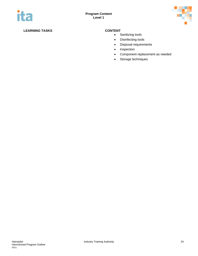

## **LEARNING TASKS CONTENT**

- Sanitizing tools
- Disinfecting tools
- Disposal requirements
- Inspection
- Component replacement as needed
- Storage techniques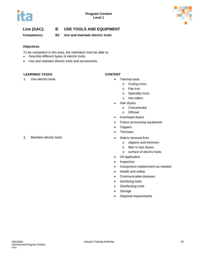



## **Line (GAC): B USE TOOLS AND EQUIPMENT**

**Competency: B2 Use and maintain electric tools**

#### **Objectives**

To be competent in this area, the individual must be able to:

- Describe different types of electric tools.
- Use and maintain electric tools and accessories.

#### **LEARNING TASKS CONTENT**

1. Use electric tools **and a set of the Contract Contract Contract Contract Contract Contract Contract Contract Contract Contract Contract Contract Contract Contract Contract Contract Contract Contract Contract Contract Co** 

- - o Curling irons
	- o Flat iron
	- o Specialty irons
	- o Hot rollers
- Hair dryers
	- o Concentrator
	- o Diffuser
- Overhead dryers
- Colour processing equipment
- Clippers
- Trimmers
- 2. Maintain electric tools Debris removal from
	- o clippers and trimmers
	- o filter in hair dryers
	- o surface of electric tools
	- Oil application
	- Inspection
	- Component replacement as needed
	- Health and safety
	- Communicable diseases
	- Sanitizing tools
	- Disinfecting tools
	- Storage
	- Disposal requirements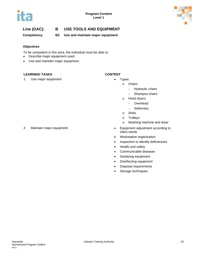



## **Line (GAC): B USE TOOLS AND EQUIPMENT**

**Competency: B3 Use and maintain major equipment**

#### **Objectives**

To be competent in this area, the individual must be able to:

- Describe major equipment used.
- Use and maintain major equipment.

#### **LEARNING TASKS CONTENT**

1. Use major equipment **and the set of the set of the set of the set of the set of the set of the set of the set of the set of the set of the set of the set of the set of the set of the set of the set of the set of the set** 

- o Chairs
	- − Hydraulic chairs
	- − Shampoo chairs
	- o Hood dryers
		- − Overhead
		- − Stationary
	- o Sinks
	- o Trolleys
	- o Washing machine and dryer
- 2. Maintain major equipment **Figure 1** and  $\bullet$  Equipment adjustment according to client needs
	- Workstation organization
	- Inspection to identify deficiencies
	- Health and safety
	- Communicable diseases
	- Sanitizing equipment
	- Disinfecting equipment
	- Disposal requirements
	- Storage techniques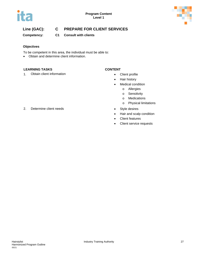



**Competency: C1 Consult with clients**

### **Objectives**

To be competent in this area, the individual must be able to:

• Obtain and determine client information.

### **LEARNING TASKS CONTENT**

1. Obtain client information **by a client profile** Client profile

- 
- Hair history
- Medical condition
	- o Allergies
	- o Sensitivity
	- o Medications
	- o Physical limitations
- 
- Hair and scalp condition
- Client features
- Client service requests
- 2. Determine client needs **•** Style desires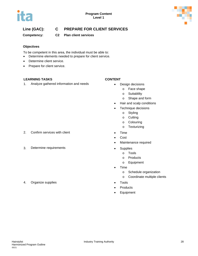

## **Competency: C2 Plan client services**

### **Objectives**

To be competent in this area, the individual must be able to:

- Determine elements needed to prepare for client service.
- Determine client service.
- Prepare for client service.

### **LEARNING TASKS CONTENT**

1. Analyze gathered information and needs **•** Design decisions

- - o Face shape
		- o Suitablilty
	- o Shape and form
- Hair and scalp conditions
- Technique decisions
	- o Styling
	- o Cutting
	- o Colouring
	- o Texturizing
- 2. Confirm services with client **•** Time
	- Cost
	- Maintenance required
- 3. Determine requirements Supplies
	- o Tools
		- o Products
		- o Equipment
	- Time
		- o Schedule organization
		- o Coordinate multiple clients
	-
	- **Products**
	- Equipment
- 4. Organize supplies Tools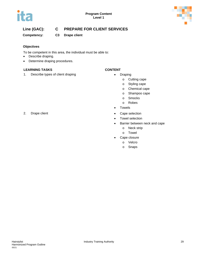

**Competency: C3 Drape client**

### **Objectives**

To be competent in this area, the individual must be able to:

- Describe draping.
- Determine draping procedures.

### **LEARNING TASKS CONTENT**

1. Describe types of client draping **Fig. 2.1 Contains 1. Container Straps •** Draping

- - o Cutting cape
	- o Styling cape
	- o Chemical cape
	- o Shampoo cape
	- o Smocks
	- o Robes
- Towels
- 2. Drape client **•** Cape selection
	- Towel selection
	- Barrier between neck and cape
		- o Neck strip
		- o Towel
	- Cape closure
		- o Velcro
			- o Snaps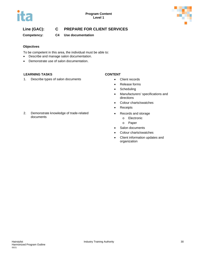



**Competency: C4 Use documentation**

#### **Objectives**

To be competent in this area, the individual must be able to:

- Describe and manage salon documentation.
- Demonstrate use of salon documentation.

#### **LEARNING TASKS CONTENT**

1. Describe types of salon documents **•** Client records

- 
- Release forms
- Scheduling
- Manufacturers' specifications and directions
- Colour charts/swatches
- Receipts
- Records and storage
	- o Electronic
	- o Paper
- Salon documents
- Colour charts/swatches
- Client information updates and organization

2. Demonstrate knowledge of trade-related documents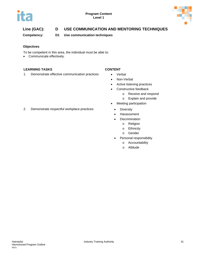



# **Line (GAC): D USE COMMUNICATION AND MENTORING TECHNIQUES**

**Competency: D1 Use communication techniques**

#### **Objectives**

To be competent in this area, the individual must be able to:

• Communicate effectively.

#### **LEARNING TASKS CONTENT**

1. Demonstrate effective communication practices • Verbal

- 
- Non-Verbal
- Active listening practices
- Constructive feedback
	- o Receive and respond
	- o Explain and provide
- Meeting participation
	-
	- Harasssment
	- Discrimination
		- o Religion
		- o Ethnicity
		- o Gender
	- Personal responsibility
		- o Accountability
		- o Attitude

2. Demonstrate respectful workplace practices • Diversity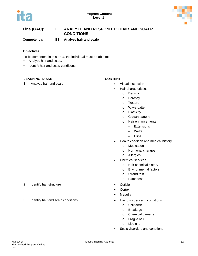



## **Line (GAC): E ANALYZE AND RESPOND TO HAIR AND SCALP CONDITIONS**

**Competency: E1 Analyze hair and scalp**

#### **Objectives**

To be competent in this area, the individual must be able to:

- Analyze hair and scalp.
- Identify hair and scalp conditions.

#### **LEARNING TASKS CONTENT**

1. Analyze hair and scalp **Fig. 2018 • Visual inspection** 

- - Hair characteristics
		- o Density
		- o Porosity
		- o Texture
		- o Wave pattern
		- o Elasticity
		- o Growth pattern
		- o Hair enhancements
			- Extensions
			- − Wefts
			- − Clips
- Health condition and medical history
	- o Medication
	- o Hormonal changes
	- o Allergies
- Chemical services
	- o Hair chemical history
	- o Environmental factors
	- o Strand test
	- o Patch test
- 
- Cortex
- **Madulla**
- - o Split ends
	- o Breakage
	- o Chemical damage
	- o Fragile hair
	- o Lice nits
- Scalp disorders and condtions
- 2. Identify hair structure **•** Cuticle Cuticle
- 3. Identify hair and scalp conditions Hair disorders and conditions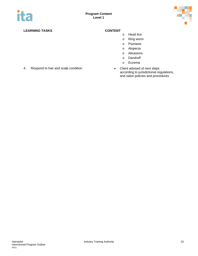

## **LEARNING TASKS CONTENT**

- o Head lice
- o Ring worm
- o Psoriasis
- o Alopecia
- o Abrasions
- o Dandruff
- o Eczema
- according to jurisdictional regulations, and salon policies and procedures
- 4. Respond to hair and scalp condition **•** Client advised of next steps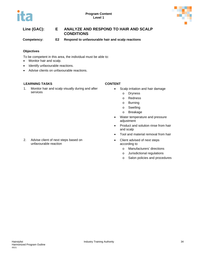



## **Line (GAC): E ANALYZE AND RESPOND TO HAIR AND SCALP CONDITIONS**

**Competency: E2 Respond to unfavourable hair and scalp reactions**

#### **Objectives**

To be competent in this area, the individual must be able to:

- Monitor hair and scalp.
- Identify unfavourable reactions.
- Advise clients on unfavourable reactions.

#### **LEARNING TASKS CONTENT**

1. Monitor hair and scalp visually during and after services

- Scalp irritation and hair damage
	- o Dryness
	- o Redness
	- o Burning
	- o Swelling
	- o Breakage
- Water temperature and pressure adjustment
- Product and solution rinse from hair and scalp
- Tool and material removal from hair
- Client advised of next steps according to
	- o Manufacturers' directions
	- o Jurisdictional regulations
	- o Salon policies and procedures

2. Advise client of next steps based on unfavourable reaction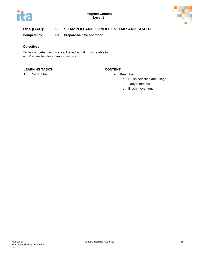

# **Line (GAC): F SHAMPOO AND CONDITION HAIR AND SCALP**

**Competency: F1 Prepare hair for shampoo**

## **Objectives**

To be competent in this area, the individual must be able to:

• Prepare hair for shampoo service.

### **LEARNING TASKS CONTENT**

1. Prepare hair **•** Brush hair

- - o Brush selection and usage
	- o Tangle removal
		- o Brush movement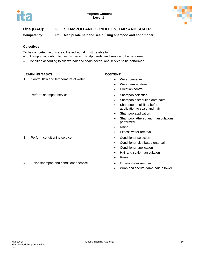

# **Line (GAC): F SHAMPOO AND CONDITION HAIR AND SCALP**

**Competency: F2 Manipulate hair and scalp using shampoo and conditioner**

### **Objectives**

To be competent in this area, the individual must be able to:

- Shampoo according to client's hair and scalp needs, and service to be performed.
- Condition according to client's hair and scalp needs, and service to be performed.

### **LEARNING TASKS CONTENT**

1. Control flow and temperature of water **•** Water pressure

### 2. Perform shampoo service **•** Shampoo selection

- 
- Water temperature
- Direction control
- 
- Shampoo distribution onto palm
- Shampoo emulsified before application to scalp and hair
- Shampoo application
- Shampoo lathered and manipulations performed
- Rinse
- Excess water removal
- 3. Perform conditioning service Conditioner selection
	- Conditioner distributed onto palm
	- Conditioner application
	- Hair and scalp manipulation
	- Rinse
	-
	- Wrap and secure damp hair in towel
- 4. Finish shampoo and conditioner service **•** Excess water removal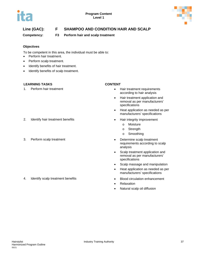

# **Line (GAC): F SHAMPOO AND CONDITION HAIR AND SCALP**

**Competency: F3 Perform hair and scalp treatment**

### **Objectives**

To be competent in this area, the individual must be able to:

- Perform hair treatment.
- Perform scalp treatment.
- Identify benefits of hair treatment.
- Identify benefits of scalp treatment.

### **LEARNING TASKS CONTENT**

### 2. Identify hair treatment benefits **•** Hair integrity improvement

4. Identify scalp treatment benefits • Blood circulation enhancement

- 1. Perform hair treatment Hair treatment requirements according to hair analysis
	- Hair treatment application and removal as per manufacturers' specifications
	- Heat application as needed as per manufacturers' specifications
	- - o Moisture
		- o Strength
		- o Smoothing
- 3. Perform scalp treatment **•** Determine scalp treatment requirements according to scalp analysis
	- Scalp treatment application and removal as per manufacturers' specifications
	- Scalp massage and manipulation
	- Heat application as needed as per manufacturers' specifications
	-
	- Relaxation
	- Natural scalp oil diffusion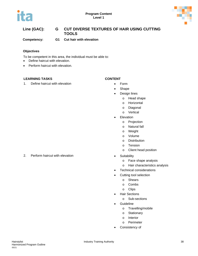



# **Line (GAC): G CUT DIVERSE TEXTURES OF HAIR USING CUTTING TOOLS**

**Competency: G1 Cut hair with elevation**

### **Objectives**

To be competent in this area, the individual must be able to:

- Define haircut with elevation.
- Perform haircut with elevation.

### **LEARNING TASKS CONTENT**

1. Define haircut with elevation **Form •** Form

- 
- Shape
- Design lines
	- o Head shape
	- o Horizontal
	- o Diagonal
	- o Vertical
- Elevation
	- o Projection
	- o Natural fall
	- o Weight
	- o Volume
	- o Distribution
	- o Tension
	- o Client head position
- - o Face shape analysis
	- o Hair characteristics analysis
- Technical considerations
- Cutting tool selection
	- o Shears
	- o Combs
	- o Clips
- Hair Sections
	- o Sub-sections
- **Guideline** 
	- o Travelling/mobile
	- o Stationary
	- o Interior
	- o Perimeter
- Consistency of

2. Perform haircut with elevation **•** Suitability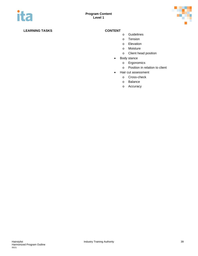

- o Guidelines
- o Tension
- o Elevation
- o Moisture
- o Client head position
- Body stance
	- o Ergonomics
	- o Position in relation to client
- Hair cut assessment
	- o Cross-check
	- o Balance
	- o Accuracy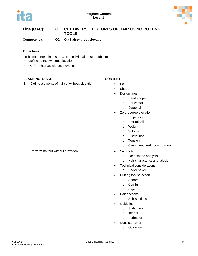



# **Line (GAC): G CUT DIVERSE TEXTURES OF HAIR USING CUTTING TOOLS**

**Competency: G2 Cut hair without elevation**

### **Objectives**

To be competent in this area, the individual must be able to:

- Define haircut without elevation.
- Perform haircut without elevation.

### **LEARNING TASKS CONTENT**

1. Define elements of haircut without elevation • Form

- 
- Shape
- Design lines
	- o Head shape
	- o Horizontal
	- o Diagonal
- Zero-degree elevation
	- o Projection
	- o Natural fall
	- o Weight
	- o Volume
	- o Distribution
	- o Tension
	- o Client head and body position
- 2. Perform haircut without elevation **•** Suitability
	- o Face shape analysis
	- o Hair characteristics analysis
	- Technical considerations
		- o Under bevel
	- Cutting tool selection
		- o Shears
		- o Combs
		- o Clips
	- Hair sections
		- o Sub-sections
	- **Guideline** 
		- o Stationary
		- o Interior
		- o Perimeter
	- Consistency of
		- o Guideline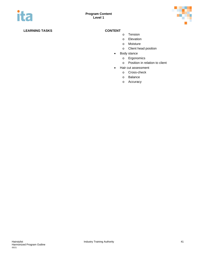

- o Tension
- o Elevation
- o Moisture
- o Client head position
- Body stance
	- o Ergonomics
	- o Position in relation to client
- Hair cut assessment
	- o Cross-check
	- o Balance
	- o Accuracy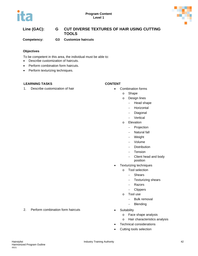# TE



# **Line (GAC): G CUT DIVERSE TEXTURES OF HAIR USING CUTTING TOOLS**

**Competency: G3 Customize haircuts**

### **Objectives**

To be competent in this area, the individual must be able to:

- Describe customization of haircuts.
- Perform combination form haircuts.
- Perform texturizing techniques.

### **LEARNING TASKS CONTENT**

#### 1. Describe customization of hair **•** Combination forms

- - o Shape
	- o Design lines
		- − Head shape
			- − Horizontal
			- − Diagonal
		- − Vertical
	- o Elevation
		- − Projection
		- − Natural fall
		- − Weight
		- − Volume
		- − Distribution
		- − Tension
		- − Client head and body
			- position
- Texturizing techniques
	- o Tool selection
		- − Shears
		- − Texturizing shears
		- − Razors
		- − Clippers
	- o Tool use
		- − Bulk removal
		- − Blending
- - o Face shape analysis
	- o Hair characteristics analysis
- Technical considerations
- Cutting tools selection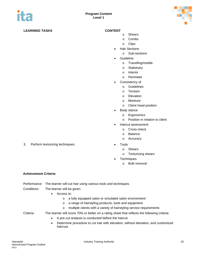

- o Shears
	- o Combs
	- o Clips
- Hair Sections
	- o Sub-sections
- **Guideline** 
	- o Travelling/mobile
	- o Stationary
	- o Interior
	- o Perimeter
- Consistency of
	- o Guidelines
	- o Tension
	- o Elevation
	- o Moisture
	- o Client head position
- Body stance
	- o Ergonomics
	- o Position in relation to client
- Haircut assessment
	- o Cross-check
	- o Balance
	- o Accuracy
- - o Shears
		- o Texturizing shears
- Techniques
	- o Bulk removal

#### **Achievement Criteria**

|            | Performance The learner will cut hair using various tools and techniques. |
|------------|---------------------------------------------------------------------------|
| Conditions | The learner will be given:                                                |

- Access to:
	- o a fully equipped salon or simulated salon environment
	- o a range of hairstyling products, tools and equipment
	- o multiple clients with a variety of hairstyling service requirements

### Criteria The learner will score 70% or better on a rating sheet that reflects the following criteria:

- A pre-cut analysis is conducted before the haircut
- Determine procedure to cut hair with elevation, without elevation, and customized haircuts

3. Perform texturizing techniques **•** Tools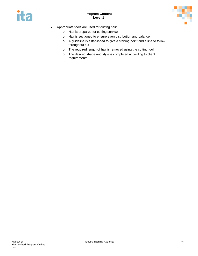



- Appropriate tools are used for cutting hair:
	- o Hair is prepared for cutting service
	- o Hair is sectioned to ensure even distribution and balance
	- o A guideline is established to give a starting point and a line to follow throughout cut
	- o The required length of hair is removed using the cutting tool
	- o The desired shape and style is completed according to client requirements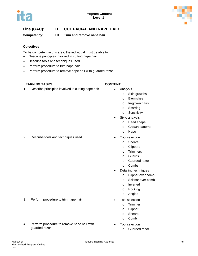

# **Line (GAC): H CUT FACIAL AND NAPE HAIR**

**Competency: H1 Trim and remove nape hair**

### **Objectives**

To be competent in this area, the individual must be able to:

- Describe principles involved in cutting nape hair.
- Describe tools and techniques used.
- Perform procedure to trim nape hair.
- Perform procedure to remove nape hair with guarded razor.

### **LEARNING TASKS CONTENT**

1. Describe principles involved in cutting nape hair • Analysis

- - o Skin growths
		- o Blemishes
		- o In-grown hairs
		- o Scarring
		- o Sensitivity
- Style analysis
	- o Head shape
		- o Growth patterns
		- o Nape
- 2. Describe tools and techniques used **•** Tool selection
	- o Shears
	- o Clippers
	- o Trimmers
	- o Guards
	- o Guarded razor
	- o Combs
	- Detailing techniques
		- o Clipper over comb
		- o Scissor over comb
		- o Inverted
		- o Rocking
		- o Angled
	- - o Trimmer
		- o Clipper
		- o Shears
		- o Comb
	- Tool selection
		- o Guarded razor
- 3. Perform procedure to trim nape hair **•** Tool selection
- 4. Perform procedure to remove nape hair with guarded razor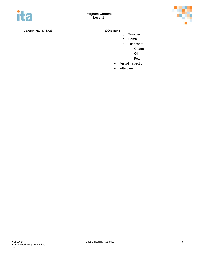

- o Trimmer
- o Comb
- o Lubricants
	- − Cream
	- − Oil
	- − Foam
- Visual inspection
- Aftercare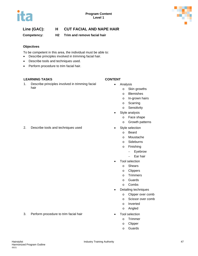

# **Line (GAC): H CUT FACIAL AND NAPE HAIR**

**Competency: H2 Trim and remove facial hair** 

### **Objectives**

To be competent in this area, the individual must be able to:

- Describe principles involved in trimming facial hair.
- Describe tools and techniques used.
- Perform procedure to trim facial hair.

### **LEARNING TASKS CONTENT**

1. Describe principles involved in trimming facial hair

- Analysis
	- o Skin growths
	- o Blemishes
	- o In-grown hairs
	- o Scarring
	- o Sensitivity
	- Style analysis
		- o Face shape
		- o Growth patterns
- 2. Describe tools and techniques used Style selection
	- o Beard
	- o Moustache
	- o Sideburns
	- o Finishing
		- − Eyebrow
		- − Ear hair
	- Tool selection
		- o Shears
		- o Clippers
		- o Trimmers
		- o Guards
		- o Combs
	- Detailing techniques
		- o Clipper over comb
		- o Scissor over comb
		- o Inverted
		- o Angled
	- - o Trimmer
		- o Clipper
		- o Guards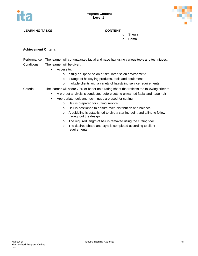



o Shears

o Comb

#### **Achievement Criteria**

Performance The learner will cut unwanted facial and nape hair using various tools and techniques. Conditions The learner will be given:

- Access to:
	- o a fully equipped salon or simulated salon environment
	- o a range of hairstyling products, tools and equipment
	- o multiple clients with a variety of hairstyling service requirements
- Criteria The learner will score 70% or better on a rating sheet that reflects the following criteria:
	- A pre-cut analysis is conducted before cutting unwanted facial and nape hair
	- Appropriate tools and techniques are used for cutting:
		- o Hair is prepared for cutting service
		- o Hair is positioned to ensure even distribution and balance
		- o A guideline is established to give a starting point and a line to follow throughout the design
		- o The required length of hair is removed using the cutting tool
		- o The desired shape and style is completed according to client requirements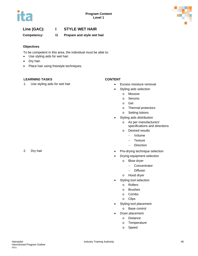

# **Line (GAC): I STYLE WET HAIR**

**Competency: I1 Prepare and style wet hair**

### **Objectives**

To be competent in this area, the individual must be able to:

- Use styling aids for wet hair.
- Dry hair.
- Place hair using freestyle techniques.

### **LEARNING TASKS CONTENT**

1. Use styling aids for wet hair **• Excess moisture removal** 

- 
- Styling aids selection
	- o Mousse
	- o Serums
	- o Gel
	- o Thermal protectors
	- o Setting lotions
- Styling aids distribution
	- o As per manufacturers' specifications and directions
	- o Desired results
		- − Volume
		- − Texture
		- − Direction
- 2. Dry hair **but a controlled a controlled a controlled a controlled a Pre-drying technique selection** 
	- Drying equipment selection
		- o Blow dryer
			- − Concentrator
			- Diffuser
		- o Hood dryer
	- Styling tool selection
		- o Rollers
		- o Brushes
		- o Combs
		- o Clips
	- Styling tool placement
		- o Base control
	- Dryer placement
		- o Distance
		- o Temperature
		- o Speed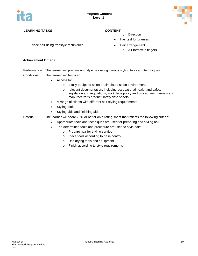

3. Place hair using freestyle techniques **•** Hair arrangement

- o Direction
- Hair test for dryness
- - o Air form with fingers

#### **Achievement Criteria**

Performance The learner will prepare and style hair using various styling tools and techniques. Conditions The learner will be given:

- Access to:
	- o a fully equipped salon or simulated salon environment
	- o relevant documentation, including occupational health and safety legislation and regulations, workplace policy and procedures manuals and manufacturer's product safety data sheets
- A range of clients with different hair styling requirements
- Styling tools
- Styling aids and finishing aids
- Criteria The learner will score 70% or better on a rating sheet that reflects the following criteria:
	- Appropriate tools and techniques are used for preparing and styling hair
	- The determined tools and procedure are used to style hair:
		- o Prepare hair for styling service
		- o Place tools according to base control
		- o Use drying tools and equipment
		- o Finish according to style requirements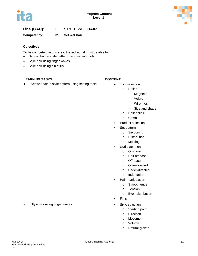

# **Line (GAC): I STYLE WET HAIR**

**Competency: I2 Set wet hair** 

### **Objectives**

To be competent in this area, the individual must be able to:

- Set wet hair in style pattern using setting tools.
- Style hair using finger waves.
- Style hair using pin curls.

### **LEARNING TASKS CONTENT**

1. Set wet hair in style pattern using setting tools **•** Tool selection

- - o Rollers
		- − Magnetic
		- − Velcro
		- − Wire mesh
		- − Size and shape
	- o Roller clips
	- o Comb
- Product selection
- Set pattern
	- o Sectioning
	- o Distribution
	- o Molding
- Curl placement
	- o On-base
	- o Half-off base
	- o Off-base
	- o Over-directed
	- o Under-directed
	- o Indentation
- Hair manipulation
	- o Smooth ends
	- o Tension
	- o Even distribution
- Finish
- - o Starting point
	- o Direction
	- o Movement
	- o Volume
	- o Natural growth
- 2. Style hair using finger waves **•** Style selection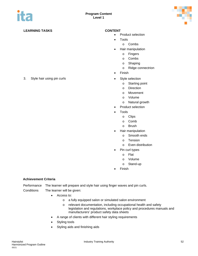

- Product selection
- Tools
	- o Combs
- Hair manipulation
	- o Fingers
	- o Combs
	- o Shaping
	- o Ridge connectrion
- Finish
- 3. Style hair using pin curls **•** Style selection
	- o Starting point
	- o Direction
	- o Movement
	- o Volume
	- o Natural growth
	- Product selection
	- **Tools** 
		- o Clips
		- o Comb
		- o Brush
	- Hair manipulation
		- o Smooth ends
		- o Tension
		- o Even distribution
	- Pin curl types
		- o Flat
		- o Volume
		- o Stand-up
	- Finish

### **Achievement Criteria**

Performance The learner will prepare and style hair using finger waves and pin curls. Conditions The learner will be given:

- Access to:
	- o a fully equipped salon or simulated salon environment
	- o relevant documentation, including occupational health and safety legislation and regulations, workplace policy and procedures manuals and manufacturers' product safety data sheets
- A range of clients with different hair styling requirements
- Styling tools
- Styling aids and finishing aids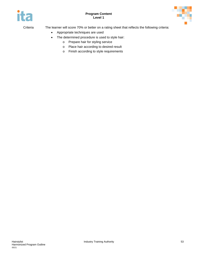

ņ

Criteria The learner will score 70% or better on a rating sheet that reflects the following criteria:

- Appropriate techniques are used
- The determined procedure is used to style hair:
	- o Prepare hair for styling service
	- o Place hair according to desired result
	- o Finish according to style requirements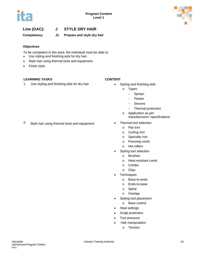

# **Line (GAC): J STYLE DRY HAIR**

### **Competency: J1 Prepare and style dry hair**

#### **Objectives**

To be competent in this area, the individual must be able to:

- Use styling and finishing aids for dry hair.
- Style hair using thermal tools and equipment.
- Finish style.

### **LEARNING TASKS CONTENT**

1. Use styling and finishing aids for dry hair **•** Styling and finishing aids

- - o Types
		- − Sprays
		- − Pastes
		- − Serums
		- − Thermal protection
	- o Application as per manufacturers' specifications
	- - o Flat iron
		- o Curling iron
		- o Specialty iron
		- o Pressing comb
		- o Hot rollers
	- Styling tool selection
		- o Brushes
		- o Heat-resistant comb
		- o Combs
		- o Clips
	- **Techniques** 
		- o Base-to-ends
		- o Ends-to-base
		- o Spiral
		- o Overlap
	- Styling tool placement
		- o Base control
	- Heat settings
	- Scalp protection
	- Tool pressure
	- Hair manipulation
		- o Tension

# 2. Style hair using thermal tools and equipment • Thermal tool selection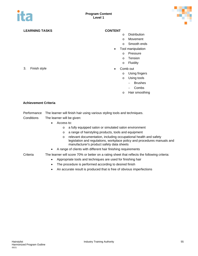

- o Distribution
- o Movement
- o Smooth ends
- Tool manipulation
	- o Pressure
	- o Tension
	- o Fluidity
- 3. Finish style Comb out
	- o Using fingers
		- o Using tools
			- − Brushes
				- − Combs
		- o Hair smoothing

#### **Achievement Criteria**

#### Performance The learner will finish hair using various styling tools and techniques.

- Conditions The learner will be given:
	- Access to:
		- o a fully equipped salon or simulated salon environment
		- o a range of hairstyling products, tools and equipment
		- o relevant documentation, including occupational health and safety legislation and regulations, workplace policy and procedures manuals and manufacturer's product safety data sheets
	- A range of clients with different hair finishing requirements

- Criteria The learner will score 70% or better on a rating sheet that reflects the following criteria:
	- Appropriate tools and techniques are used for finishing hair
	- The procedure is performed according to desired finish
	- An accurate result is produced that is free of obvious imperfections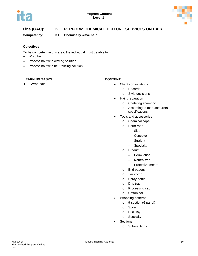

# **Line (GAC): K PERFORM CHEMICAL TEXTURE SERVICES ON HAIR**

**Competency: K1 Chemically wave hair**

### **Objectives**

To be competent in this area, the individual must be able to:

- Wrap hair.
- Process hair with waving solution.
- Process hair with neutralizing solution.

### **LEARNING TASKS CONTENT**

- 1. Wrap hair  **Client consultations** 
	- o Records
	- o Style decisions
	- Hair preparation
		- o Chelating shampoo
		- o According to manufacturers' specifications
	- Tools and accessories
		- o Chemical cape
		- o Perm rods
			- − Size
			- − Concave
			- − Straight
			- − Specialty
		- o Product
			- − Perm lotion
			- − Neutralizer
			- − Protective cream
		- o End papers
		- o Tail comb
		- o Spray bottle
		- o Drip tray
		- o Processing cap
		- o Cotton coil
	- Wrapping patterns
		- o 9-section (6-panel)
		- o Spiral
		- o Brick lay
		- o Specialty
	- **Sections** 
		- o Sub-sections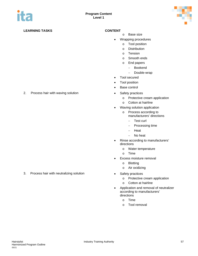

- o Base size
- Wrapping procedures
	- o Tool position
	- o Distribution
	- o Tension
	- o Smooth ends
	- o End papers
		- − Bookend
		- − Double-wrap
- Tool secured
- Tool position
- Base control
- - o Protective cream application
	- o Cotton at hairline
- Waving solution application
	- o Process according to manufacturers' directions
		- − Test curl
		- − Processing time
		- − Heat
		- − No heat
- Rinse according to manufacturers' directions
	- o Water temperature
	- o Time
- Excess moisture removal
	- o Blotting
	- o Air oxidizing
- 3. Process hair with neutralizing solution **•** Safety practices
	- o Protective cream application
	- o Cotton at hairline
	- Application and removal of neutralizer according to manufacturers' directions
		- o Time
		- o Tool removal

2. Process hair with waving solution **•** Safety practices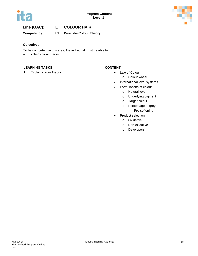

# **Line (GAC): L COLOUR HAIR**

**Competency: L1 Describe Colour Theory**

#### **Objectives**

To be competent in this area, the individual must be able to:

• Explain colour theory.

### **LEARNING TASKS CONTENT**

1. Explain colour theory **• Law of Colour** 

- - o Colour wheel
- International level systems
- Formulations of colour
	- o Natural level
	- o Underlying pigment
	- o Target colour
	- o Percentage of grey
		- − Pre-softening
- Product selection
	- o Oxidative
	- o Non-oxidative
	- o Developers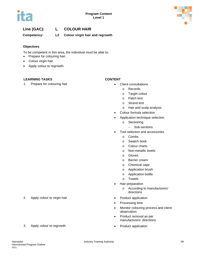

# **Line (GAC): L COLOUR HAIR**

**Competency: L2 Colour virgin hair and regrowth**

#### **Objectives**

To be competent in this area, the individual must be able to:

- Prepare for colouring hair.
- Colour virgin hair.
- Apply colour to regrowth.

### **LEARNING TASKS CONTENT**

1. Prepare for colouring hair **•** Client consultations

- - o Records
	- o Target colour
	- o Patch test
	- o Strand test
	- o Hair and scalp analysis
- Colour formula selection
- Application technique selection
	- o Sectioning
		- − Sub-sections
- Tool selection and accessories
	- o Combs
	- o Swatch book
	- o Colour charts
	- o Non-metallic bowls
	- o Gloves
	- o Barrier cream
	- o Chemical cape
	- o Application brush
	- o Application bottle
	- o Towels
- Hair preparation
	- o According to manufacturers' directions
- 
- Processing time
- Monitor colouring process and client observation
- Product removal as per manufacturers' directions
- 
- 2. Apply colour to virgin hair **•** Product application
- 3. Apply colour to regrowth **•** Product application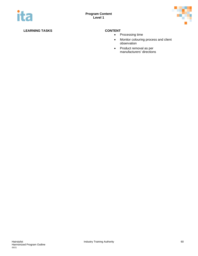

- Processing time
- Monitor colouring process and client observation
- Product removal as per manufacturers' directions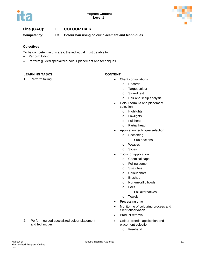



# **Line (GAC): L COLOUR HAIR**

**Competency: L3 Colour hair using colour placement and techniques**

### **Objectives**

To be competent in this area, the individual must be able to:

- Perform foiling.
- Perform guided specialized colour placement and techniques.

### **LEARNING TASKS CONTENT**

- 1. Perform foiling **1. In the consultation of the Client consultations Client consultations** 
	- o Records
		- o Target colour
		- o Strand test
		- o Hair and scalp analysis
	- Colour formula and placement selection
		- o Highlights
		- o Lowlights
		- o Full head
		- o Partial head
	- Application technique selection
		- o Sectioning
			- − Sub-sections
		- o Weaves
		- o Slices
	- Tools for application
		- o Chemical cape
		- o Foiling comb
		- o Swatches
		- o Colour chart
		- o Brushes
		- o Non-metallic bowls
		- o Foils
			- − Foil alternatives
		- o Towels
	- Processing time
	- Monitoring of colouring process and client observation
	- Product removal
	- Colour Trends: application and placement selection
		- o Freehand

2. Perform guided specialized colour placement and techniques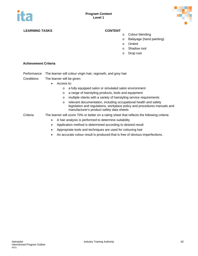

- o Colour blending
- o Balayage (hand painting)
- o Ombré
- o Shadow root
- o Drop root

#### **Achievement Criteria**

- Performance The learner will colour virgin hair, regrowth, and grey hair
- Conditions The learner will be given:
	- Access to:
		- o a fully equipped salon or simulated salon environment
		- o a range of hairstyling products, tools and equipment
		- o multiple clients with a variety of hairstyling service requirements
		- o relevant documentation, including occupational health and safety legislation and regulations, workplace policy and procedures manuals and manufacturer's product safety data sheets
- Criteria The learner will score 70% or better on a rating sheet that reflects the following criteria:
	- A hair analysis is performed to determine suitability
	- Application method is determined according to desired result
	- Appropriate tools and techniques are used for colouring hair
	- An accurate colour result is produced that is free of obvious imperfections.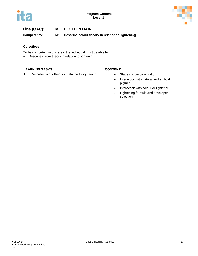



**Competency: M1 Describe colour theory in relation to lightening**

#### **Objectives**

To be competent in this area, the individual must be able to:

• Describe colour theory in relation to lightening.

### **LEARNING TASKS CONTENT**

1. Describe colour theory in relation to lightening **•** Stages of decolourization

- 
- Interaction with natural and artifical pigment
- Interaction with colour or lightener
- Lightening formula and developer selection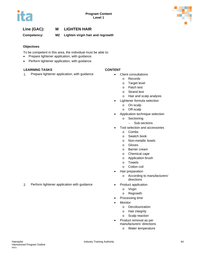

**Competency: M2 Lighten virgin hair and regrowth**

#### **Objectives**

To be competent in this area, the individual must be able to:

- Prepare lightener application, with guidance.
- Perform lightener application, with guidance.

#### **LEARNING TASKS CONTENT**

1. Prepare lightener application, with guidance **•** Client consultations

- - o Records
	- o Target level
	- o Patch test
	- o Strand test
	- o Hair and scalp analysis
- Lightener formula selection
	- o On-scalp
		- o Off-scalp
- Application technique selection
	- o Sectioning
		- Sub-sections
- Tool selection and accessories
	- o Combs
	- o Swatch book
	- o Non-metallic bowls
	- o Gloves
	- o Barrier cream
	- o Chemical cape
	- o Application brush
	- o Towels
	- o Cotton coil
- Hair preparation
	- o According to manufacturers' directions
- - o Virgin
	- o Regrowth
- Processing time
- **Monitor** 
	- o Decolourization
	- o Hair integrity
	- o Scalp reaction
- Product removal as per manufacturers' directions
	- o Water temperature

2. Perform lightener application with guidance • Product application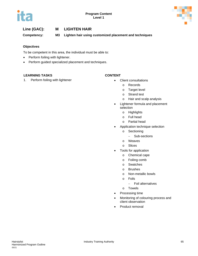

**Competency: M3 Lighten hair using customized placement and techniques**

### **Objectives**

To be competent in this area, the individual must be able to:

- Perform foiling with lightener.
- Perform guided specialized placement and techniques.

### **LEARNING TASKS CONTENT**

1. Perform foiling with lightener **•** Client consultations

- - o Records
	- o Target level
	- o Strand test
	- o Hair and scalp analysis
- Lightener formula and placement selection
	- o Highlights
	- o Full head
	- o Partial head
- Application technique selection
	- o Sectioning
		- − Sub-sections
	- o Weaves
	- o Slices
- Tools for application
	- o Chemical cape
	- o Foiling comb
	- o Swatches
	- o Brushes
	- o Non-metallic bowls
	- o Foils
		- − Foil alternatives
	- o Towels
- Processing time
- Monitoring of colouring process and client observation
- Product removal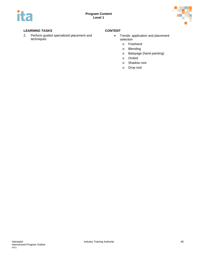

2. Perform guided specialized placement and techniques

- Trends: application and placement selection
	- o Freehand
	- o Blending
	- o Balayage (hand painting)
	- o Ombré
	- o Shadow root
	- o Drop root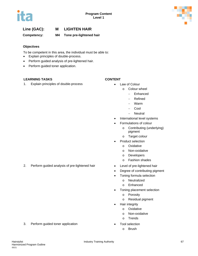

**Competency: M4 Tone pre-lightened hair**

### **Objectives**

To be competent in this area, the individual must be able to:

- Explain principles of double-process.
- Perform guided analysis of pre-lightened hair.
- Perform guided toner application.

### **LEARNING TASKS CONTENT**

1. Explain principles of double-process **•** Law of Colour

- - o Colour wheel
		- − Enhanced
		- − Refined
		- − Warm
		- − Cool
		- − Neutral
- International level systems
- Formulations of colour
	- o Contributing (underlying) pigment
	- o Target colour
- Product selection
	- o Oxidative
	- o Non-oxidative
	- o Developers
	- o Fashion shades
- 2. Perform guided analysis of pre-lightened hair **•** Level of pre-lightened hair
	- Degree of contributing pigment
	- Toning formula selection
		- o Neutralized
		- o Enhanced
	- Toning placement selection
		- o Porosity
		- o Residual pigment
	- Hair integrity
		- o Oxidative
		- o Non-oxidative
		- o Trends
- 3. Perform guided toner application **•** Tool selection
	- o Brush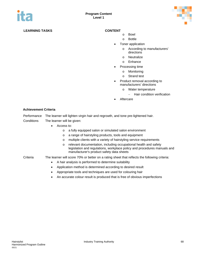

- o Bowl
- o Bottle
- Toner application
	- o According to manufacturers' directions
	- o Neutralize
	- o Enhance
- Processing time
	- o Monitoring
	- o Strand test
- Product removal according to manufacturers' directions
	- o Water temperature
		- − Hair condition verification
- **Aftercare**

#### **Achievement Criteria**

Performance The learner will lighten virgin hair and regrowth, and tone pre-lightened hair. Conditions The learner will be given:

- Access to:
	- o a fully equipped salon or simulated salon environment
	- o a range of hairstyling products, tools and equipment
	- o multiple clients with a variety of hairstyling service requirements
	- o relevant documentation, including occupational health and safety legislation and regulations, workplace policy and procedures manuals and manufacturer's product safety data sheets
- Criteria The learner will score 70% or better on a rating sheet that reflects the following criteria:
	- A hair analysis is performed to determine suitability
	- Application method is determined according to desired result
	- Appropriate tools and techniques are used for colouring hair
	- An accurate colour result is produced that is free of obvious imperfections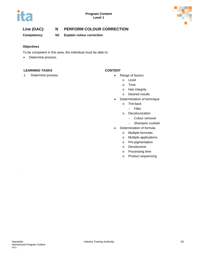



# **Line (GAC): N PERFORM COLOUR CORRECTION**

**Competency: N1 Explain colour correction**

### **Objectives**

To be competent in this area, the individual must be able to:

• Determine process.

### **LEARNING TASKS CONTENT**

1. Determine process **and a set of the set of the set of the set of factors • Range of factors** 

- - o Level
	- o Tone
	- o Hair integrity
	- o Desired results
- Determintation of technique
	- o Tint-back
		- − Filler
	- o Decolourization
		- − Colour remover
		- − Shampoo cocktail
- Determination of formula
	- o Multiple formulas
	- o Multiple applications
	- o Pre-pigmentation
	- o Decolourizer
	- o Processing time
	- o Product sequencing

.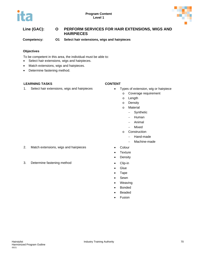

# **Line (GAC): O PERFORM SERVICES FOR HAIR EXTENSIONS, WIGS AND HAIRPIECES**

**Competency: O1 Select hair extensions, wigs and hairpieces**

### **Objectives**

To be competent in this area, the individual must be able to:

- Select hair extensions, wigs and hairpieces.
- Match extensions, wigs and hairpieces.
- Determine fastening method.

### **LEARNING TASKS CONTENT**

1. Select hair extensions, wigs and hairpieces • Types of extension, wig or hairpiece

- - o Coverage requirement
	- o Length
	- o Density
	- o Material
		- − Synthetic
		- − Human
		- − Animal
		- − Mixed
	- o Construction
		- − Hand-made
		- − Machine-made
- 2. Match extensions, wigs and hairpieces Colour
	- Texture
	- Density
- 3. Determine fastening method Clip-in
	- Glue
	- Tape
	- Sewn
	- Weaving
	- **Bonded**
	- Beaded
	- **Fusion**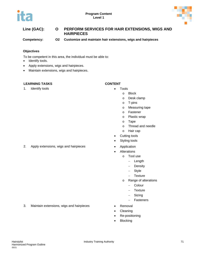



# **Line (GAC): O PERFORM SERVICES FOR HAIR EXTENSIONS, WIGS AND HAIRPIECES**

**Competency: O2 Customize and maintain hair extensions, wigs and hairpieces**

### **Objectives**

To be competent in this area, the individual must be able to:

- Identify tools.
- Apply extensions, wigs and hairpieces.
- Maintain extensions, wigs and hairpieces.

### **LEARNING TASKS CONTENT**

1. Identify tools **• Tools** 

- - o Block
		- o Desk clamp
		- o T-pins
		- o Measuring tape
		- o Fastener
		- o Plastic wrap
		- o Tape
		- o Thread and needle
		- o Hair cap
	- Cutting tools
	- Styling tools
	-
	- **Alterations** 
		- o Tool use
			- − Length
			- − Density
			- − Style
			- − Texture
		- o Range of alterations
			- − Colour
			- − Texture
			- − Sizing
			- − Fasteners
- 3. Maintain extensions, wigs and hairpieces Removal
	- Cleaning
	- Re-positioning
	- Blocking

2. Apply extensions, wigs and hairpieces • Application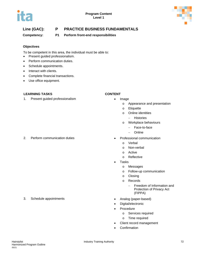

# **Line (GAC): P PRACTICE BUSINESS FUNDAMENTALS**

**Competency: P1 Perform front-end responsibilities**

#### **Objectives**

To be competent in this area, the individual must be able to:

- Present guided professionalism.
- Perform communication duties.
- Schedule appointments.
- Interact with clients.
- Complete financial transactions.
- Use office equipment.

#### **LEARNING TASKS CONTENT**

1. Present guided professionalism **•** Image

#### 2. Perform communication duties • Professional communication

- - o Appearance and presentation
	- o Etiquette
	- o Online identities
		- − Histories
	- o Workplace behaviours
		- − Face-to-face
		- − Online
	- - o Verbal
		- o Non-verbal
		- o Active
		- o Reflective
- Tasks
	- o Messages
	- o Follow-up communication
	- o Closing
	- o Records
		- − Freedom of Information and Protection of Privacy Act (FIPPA)
- 3. Schedule appointments Analog (paper-based)
	- Digital/electronic
	- Procedure
		- o Services required
		- o Time required
	- Client record management
	- **Confirmation**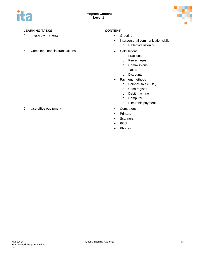

- 4. Interact with clients **•** Greeting
- 5. Complete financial transactions Calculations

- 
- Interpersonal communication skills
	- o Reflective listening
- - o Fractions
	- o Percentages
	- o Commissions
	- o Taxes
	- o Discounts
- Payment methods
	- o Point-of-sale (POS)
	- o Cash register
	- o Debit machine
	- o Computer
	- o Electronic payment
- 
- Printers
- Scanners
- POS
- Phones
- 6. Use office equipment **•** Computers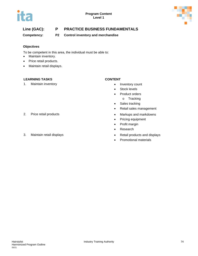



# **Line (GAC): P PRACTICE BUSINESS FUNDAMENTALS**

**Competency: P2 Control inventory and merchandise**

#### **Objectives**

To be competent in this area, the individual must be able to:

- Maintain inventory.
- Price retail products.
- Maintain retail displays.

#### **LEARNING TASKS CONTENT**

1. Maintain inventory example and the set of the set of the set of the line of the line of the line of the line of the line of the line of the line of the line of the line of the line of the line of the line of the line of

- 
- Stock levels
- Product orders
	- o Tracking
- Sales tracking
- Retail sales management
- 2. Price retail products **•** Markups and markdowns
	- Pricing equipment
	- Profit margin
	- Research
- 3. Maintain retail displays **but a state of the Contract Contract Contract Contract Contract Contract Contract Contract Contract Contract Contract Contract Contract Contract Contract Contract Contract Contract Contract Con** 
	- Promotional materials
- 
-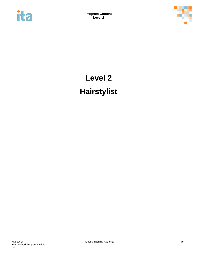



# **Level 2 Hairstylist**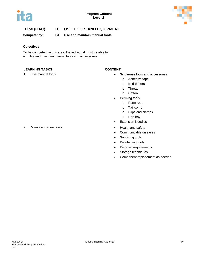



# **Line (GAC): B USE TOOLS AND EQUIPMENT**

**Competency: B1 Use and maintain manual tools**

### **Objectives**

To be competent in this area, the individual must be able to:

• Use and maintain manual tools and accessories.

### **LEARNING TASKS CONTENT**

- 1. Use manual tools  **Single-use tools and accessories** 
	- o Adhesive tape
	- o End papers
	- o Thread
	- o Cotton
	- Perming tools
		- o Perm rods
		- o Tail comb
		- o Clips and clamps
		- o Drip tray
	- Extension Needles
	-
	- Communicable diseases
	- Sanitizing tools
	- Disinfecting tools
	- Disposal requirements
	- Storage techniques
	- Component replacement as needed

2. Maintain manual tools **• All and State All and State All and State All and State All and State All and State All and State All and State All and State All and State All and State All and State All and State All and Stat**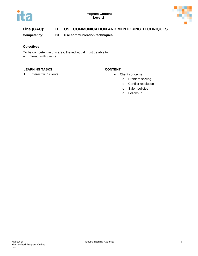



# **Line (GAC): D USE COMMUNICATION AND MENTORING TECHNIQUES**

**Competency: D1 Use communication techniques**

### **Objectives**

To be competent in this area, the individual must be able to:

• Interact with clients.

### **LEARNING TASKS CONTENT**

1. Interact with clients **and a set of the concernity of the Client concerns** 

- - o Problem solving
	- o Conflict resolution
	- o Salon policies
	- o Follow-up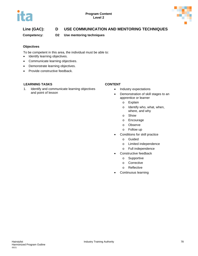

# **Line (GAC): D USE COMMUNICATION AND MENTORING TECHNIQUES**

**Competency: D2 Use mentoring techniques**

### **Objectives**

To be competent in this area, the individual must be able to:

- Identify learning objectives.
- Communicate learning objectives.
- Demonstrate learning objectives.
- Provide constructive feedback.

### **LEARNING TASKS CONTENT**

1. Identify and communicate learning objectives and point of lesson

- Industry expectations
- Demonstration of skill stages to an apprentice or learner
	- o Explain
	- o Identify who, what, when, where, and why
	- o Show
	- o Encourage
	- o Observe
	- o Follow up
- Conditions for skill practice
	- o Guided
	- o Limited independence
	- o Full independence
- Constructive feedback
	- o Supportive
	- o Corrective
	- o Reflective
- Continuous learning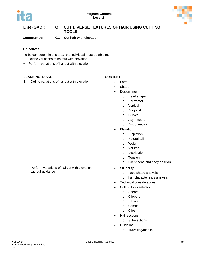



# **Line (GAC): G CUT DIVERSE TEXTURES OF HAIR USING CUTTING TOOLS**

**Competency: G1 Cut hair with elevation**

#### **Objectives**

To be competent in this area, the individual must be able to:

- Define variations of haircut with elevation.
- Perform variations of haircut with elevation.

#### **LEARNING TASKS CONTENT**

1. Define variations of haircut with elevation  $\bullet$  Form

- 
- Shape
- Design lines
	- o Head shape
	- o Horizontal
	- o Vertical
	- o Diagonal
	- o Curved
	- o Asymmetric
	- o Disconnection
- Elevation
	- o Projection
	- o Natural fall
	- o Weight
	- o Volume
	- o Distribution
	- o Tension
	- o Client head and body position
- Suitability
	- o Face shape analysis
	- o hair characteristics analysis
- Technical considerations
- Cutting tools selection
	- o Shears
	- o Clippers
	- o Razors
	- o Combs
	- o Clips
- Hair sections
	- o Sub-sections
- **Guideline** 
	- o Travelling/mobile

2. Perform variations of haircut with elevation without guidance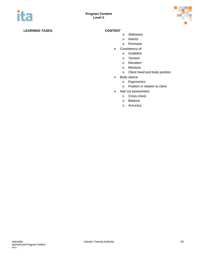

- o Stationary
- o Interior
- o Perimeter
- Consistency of:
	- o Guideline
	- o Tension
	- o Elevation
	- o Moisture
	- o Client head and body position
- Body stance
	- o Ergonomics
	- o Position in relation to client
- Hair cut assessment
	- o Cross-check
	- o Balance
	- o Accuracy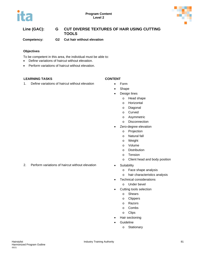



# **Line (GAC): G CUT DIVERSE TEXTURES OF HAIR USING CUTTING TOOLS**

**Competency: G2 Cut hair without elevation**

#### **Objectives**

To be competent in this area, the individual must be able to:

- Define variations of haircut without elevation.
- Perform variations of haircut without elevation.

### **LEARNING TASKS CONTENT**

1. Define variations of haircut without elevation • Form

- 
- Shape
- Design lines
	- o Head shape
	- o Horizontal
	- o Diagonal
	- o Curved
	- o Asymmetric
	- o Disconnection
- Zero-degree elevation
	- o Projection
	- o Natural fall
	- o Weight
	- o Volume
	- o Distribution
	- o Tension
	- o Client head and body position
- - o Face shape analysis
	- o hair characteristics analysis
- Technical considerations
	- o Under bevel
- Cutting tools selection
	- o Shears
	- o Clippers
	- o Razors
	- o Combs
	- o Clips
- Hair sectioning
- **Guideline** 
	- o Stationary

2. Perform variations of haircut without elevation • Suitability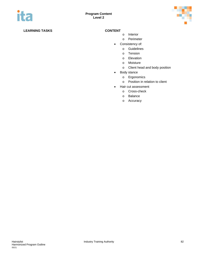

- o Interior
- o Perimeter
- Consistency of:
	- o Guidelines
	- o Tension
	- o Elevation
	- o Moisture
	- o Client head and body position
- Body stance
	- o Ergonomics
	- o Position in relation to client
- Hair cut assessment
	- o Cross-check
	- o Balance
	- o Accuracy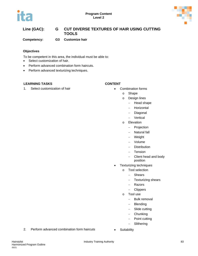



# **Line (GAC): G CUT DIVERSE TEXTURES OF HAIR USING CUTTING TOOLS**

**Competency: G3 Customize hair**

#### **Objectives**

To be competent in this area, the individual must be able to:

- Select customization of hair.
- Perform advanced combination form haircuts.
- Perform advanced texturizing techniques.

#### **LEARNING TASKS CONTENT**

#### 1. Select customization of hair **•** Combination forms

- - o Shape
	- o Design lines
		- − Head shape
			- − Horizontal
			- − Diagonal
			- − Vertical
	- o Elevation
		- − Projection
		- − Natural fall
		- − Weight
		- − Volume
		- − Distribution
		- − Tension
		- − Client head and body
			- position
- Texturizing techniques
	- o Tool selection
		- − Shears
		- − Texturizing shears
		- − Razors
		- − Clippers
	- o Tool use
		- − Bulk removal
		- − Blending
		- − Slide cutting
		- − Chunking
		- − Point cutting
		- − Slithering
- 2. Perform advanced combination form haircuts Suitability
	-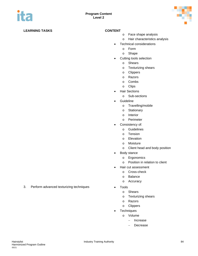

- o Face shape analysis
- o Hair characteristics analysis
- Technical considerations
	- o Form
	- o Shape
- Cutting tools selection
	- o Shears
	- o Texturizing shears
	- o Clippers
	- o Razors
	- o Combs
	- o Clips
- Hair Sections
	- o Sub-sections
- Guideline
	- o Travelling/mobile
	- o Stationary
	- o Interior
	- o Perimeter
- Consistency of:
	- o Guidelines
	- o Tension
	- o Elevation
	- o Moisture
	- o Client head and body position
- Body stance
	- o Ergonomics
	- o Position in relation to client
- Hair cut assessment
	- o Cross-check
	- o Balance
	- o Accuracy
- - o Shears
	- o Texturizing shears
	- o Razors
	- o Clippers
- Techniques
	- o Volume
		- − Increase
		- Decrease

3. Perform advanced texturizing techniques • Tools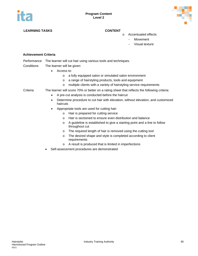

- o Accentuated effects
	- − Movement
	- − Visual texture

#### **Achievement Criteria**

Performance The learner will cut hair using various tools and techniques.

- Conditions The learner will be given:
	- Access to:
		- o a fully equipped salon or simulated salon environment
		- o a range of hairstyling products, tools and equipment
		- o multiple clients with a variety of hairstyling service requirements
- Criteria The learner will score 70% or better on a rating sheet that reflects the following criteria:
	- A pre-cut analysis is conducted before the haircut
	- Determine procedure to cut hair with elevation, without elevation, and customized haircuts
	- Appropriate tools are used for cutting hair:
		- o Hair is prepared for cutting service
		- o Hair is sectioned to ensure even distribution and balance
		- o A guideline is established to give a starting point and a line to follow throughout cut
		- o The required length of hair is removed using the cutting tool
		- o The desired shape and style is completed according to client requirements
		- o A result is produced that is limited in imperfections
	- Self-assessment procedures are demonstrated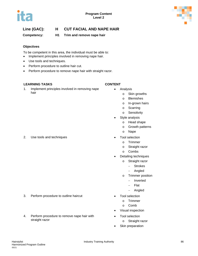

# **Line (GAC): H CUT FACIAL AND NAPE HAIR**

**Competency: H1 Trim and remove nape hair**

#### **Objectives**

To be competent in this area, the individual must be able to:

- Implement principles involved in removing nape hair.
- Use tools and techniques.
- Perform procedure to outline hair cut.
- Perform procedure to remove nape hair with straight razor.

### **LEARNING TASKS CONTENT**

1. Implement principles involved in removing nape hair

4. Perform procedure to remove nape hair with

- Analysis
	- o Skin growths
		- o Blemishes
		- o In-grown hairs
		- o Scarring
		- o Sensitivity
	- Style analysis
		- o Head shape
			- o Growth patterns
			- o Nape
- 2. Use tools and techniques **•** Tool selection
	- o Trimmer
	- o Straight razor
	- o Combs
	- Detailing techniques
		- o Straight razor
			- − Strokes
			- − Angled
		- o Trimmer position
			- − Inverted
			- − Flat
			- − Angled
- 3. Perform procedure to outline haircut **•** Tool selection
	- o Trimmer
		- o Comb
	- Visual inspection
	- Tool selection
		- o Straight razor
	- Skin preparation

Hairstylist **Industry Training Authority Industry Training Authority 100 and 200 and 200 and 200 and 200 and 200 and 200 and 200 and 200 and 200 and 200 and 200 and 200 and 200 and 200 and 200 and 200 and 200 and 200 a** Harmonized Program Outline 05/21

straight razor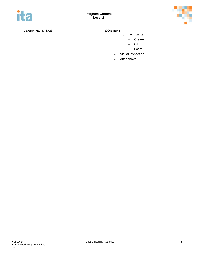

- o Lubricants
	- − Cream
	- − Oil
	- − Foam
- Visual inspection
- After shave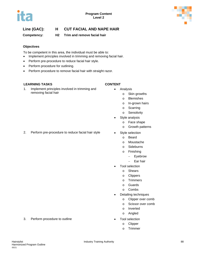

# **Line (GAC): H CUT FACIAL AND NAPE HAIR**

**Competency: H2 Trim and remove facial hair**

#### **Objectives**

To be competent in this area, the individual must be able to:

- Implement principles involved in trimming and removing facial hair.
- Perform pre-procedure to reduce facial hair style.
- Perform procedure for outlining.
- Perform procedure to remove facial hair with straight razor.

#### **LEARNING TASKS CONTENT**

1. Implement principles involved in trimming and removing facial hair

- Analysis
	- o Skin growths
		- o Blemishes
		- o In-grown hairs
		- o Scarring
		- o Sensitivity
	- Style analysis
		- o Face shape
			- o Growth patterns
	- - o Beard
			- o Moustache
			- o Sideburns
			- o Finishing
				- − Eyebrow
				- − Ear hair
- Tool selection
	- o Shears
	- o Clippers
	- o Trimmers
	- o Guards
	- o Combs
- Detailing techniques
	- o Clipper over comb
	- o Scissor over comb
	- o Inverted
	- o Angled
- - o Clipper
	- o Trimmer

#### 3. Perform procedure to outline **•** Tool selection

# 2. Perform pre-procedure to reduce facial hair style **•** Style selection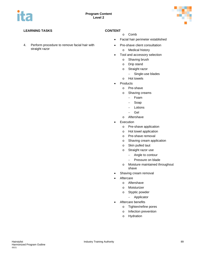

4. Perform procedure to remove facial hair with straight razor

- o Comb
- Facial hair perimeter established
- Pre-shave client consultation
	- o Medical history
- Tool and accessory selection
	- o Shaving brush
	- o Drip stand
	- o Straight razor
		- − Single-use blades
	- o Hot towels
- Products
	- o Pre-shave
	- o Shaving creams
		- − Foam
		- − Soap
		- − Lotions
		- − Gel
	- o Aftershave
- Execution
	- o Pre-shave application
	- o Hot towel application
	- o Pre-shave removal
	- o Shaving cream application
	- o Skin pulled taut
	- o Straight razor use
		- − Angle to contour
		- − Pressure on blade
	- o Moisture maintained throughout shave
- Shaving cream removal
- **Aftercare** 
	- o Aftershave
	- o Moisturizer
	- o Styptic powder
		- − Applicator
- Aftercare benefits
	- o Tighten/refine pores
	- o Infection prevention
	- o Hydration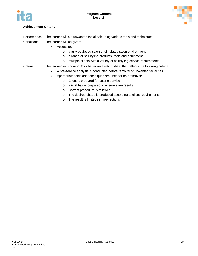



### **Achievement Criteria**

Performance The learner will cut unwanted facial hair using various tools and techniques.

- Conditions The learner will be given:
	- Access to:
		- o a fully equipped salon or simulated salon environment
		- o a range of hairstyling products, tools and equipment
		- o multiple clients with a variety of hairstyling service requirements

### Criteria The learner will score 70% or better on a rating sheet that reflects the following criteria:

- A pre-service analysis is conducted before removal of unwanted facial hair
- Appropriate tools and techniques are used for hair removal:
	- o Client is prepared for cutting service
	- o Facial hair is prepared to ensure even results
	- o Correct procedure is followed
	- o The desired shape is produced according to client requirements
	- o The result is limited in imperfections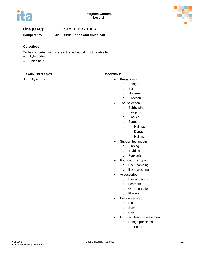



# **Line (GAC): J STYLE DRY HAIR**

**Competency: J2 Style updos and finish hair**

#### **Objectives**

To be competent in this area, the individual must be able to:

- Style updos.
- Finish hair.

### **LEARNING TASKS CONTENT**

- 1. Style updos **•** Preparation
	- o Design
	- o Set
	- o Movement
	- o Direction
	- Tool selection
		- o Bobby pins
		- o Hair pins
		- o Elastics
		- o Support
			- − Hair rat
				- − Donut
				- − Hair net
	- Support techniques
		- o Pinning
		- o Braiding
		- o Ponytails
	- Foundation support
		- o Back-combing
		- o Back-brushing
	- **Accessories** 
		- o Hair additions
		- o Feathers
		- o Ornamentation
		- o Flowers
	- Design secured
		- o Pin
		- o Sew
		- o Clip
	- Finished design assessment
		- o Design principles
			- − Form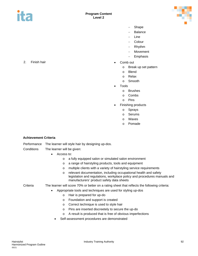

- − Shape
- Balance
- Line
- − Colour
- − Rhythm
- − Movement
- **Emphasis**
- - o Break up set pattern
	- o Blend
	- o Relax
	- o Smooth
- Tools
	- o Brushes
	- o Combs
	- o Pins
- Finishing products
	- o Sprays
	- o Serums
	- o Waxes
	- o Pomade

#### **Achievement Criteria**

Performance The learner will style hair by designing up-dos.

- Conditions The learner will be given:
	- Access to:
		- o a fully equipped salon or simulated salon environment
		- o a range of hairstyling products, tools and equipment
		- o multiple clients with a variety of hairstyling service requirements
		- o relevant documentation, including occupational health and safety legislation and regulations, workplace policy and procedures manuals and manufacturers' product safety data sheets

Criteria The learner will score 70% or better on a rating sheet that reflects the following criteria:

- Appropriate tools and techniques are used for styling up-dos
	- o Hair is prepared for up-do
	- o Foundation and support is created
	- o Correct technique is used to style hair
	- o Pins are inserted discreetely to secure the up-do
	- o A result is produced that is free of obvious imperfections
	- Self-assessment procedures are demonstrated

2. Finish hair **• Comb out • Comb out**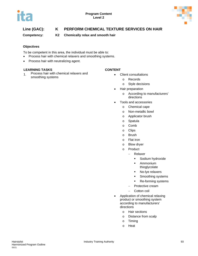

# **Line (GAC): K PERFORM CHEMICAL TEXTURE SERVICES ON HAIR**

**Competency: K2 Chemically relax and smooth hair**

### **Objectives**

To be competent in this area, the individual must be able to:

- Process hair with chemical relaxers and smoothing systems.
- Process hair with neutralizing agent.

#### **LEARNING TASKS CONTENT**

1. Process hair with chemical relaxers and Process hair with chemical relaxers and<br>smoothing systems<br>on Records

- - **Records**
	- o Style decisions
- Hair preparation
	- o According to manufacturers' directions
- Tools and accessories
	- o Chemical cape
	- o Non-metallic bowl
	- o Applicator brush
	- o Spatula
	- o Comb
	- o Clips
	- o Brush
	- o Flat iron
	- o Blow dryer
	- o Product
		- − Relaxer
			- **Sodium hydroxide**
			- **Ammonium** thioglycolate
			- No-lye relaxers
			- **Smoothing systems**
			- Re-forming systems
			- − Protective cream
			- − Cotton coil
- Application of chemical relaxing product or smoothing system according to manufacturers' directions
	- o Hair sections
	- o Distance from scalp
	- o Timing
	- o Heat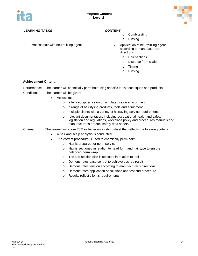

2. Process hair with neutralizing agent **•** Application of neutralizing agent

- o Comb testing
- o Rinsing
- according to manufacturers' directions
	- o Hair sections
	- o Distance from scalp
	- o Timing
	- o Rinsing

#### **Achievement Criteria**

|  |  | Performance The learner will chemically perm hair using specific tools, techniques and products. |
|--|--|--------------------------------------------------------------------------------------------------|
|  |  |                                                                                                  |

- Conditions The learner will be given:
	- Access to:
		- o a fully equipped salon or simulated salon environment
		- o a range of hairstyling products, tools and equipment
		- o multiple clients with a variety of hairstyling service requirements
		- o relevant documentation, including occupational health and safety legislation and regulations, workplace policy and procedures manuals and manufacturer's product safety data sheets

Criteria The learner will score 70% or better on a rating sheet that reflects the following criteria:

- A hair and scalp analysis is conducted
- The correct procedure is used to chemically perm hair:
	- o Hair is prepared for perm service
	- o Hair is sectioned in relation to head form and hair type to ensure balanced perm wrap
	- o The sub-section size is selected in relation to tool
	- o Demonstrates base control to achieve desired result
	- o Demonstrates tension according to manufacturer's directions
	- o Demonstrates application of solutions and test curl procedure
	- o Results reflect client's requirements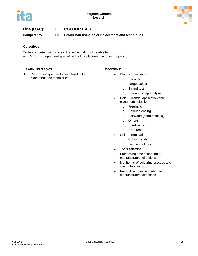

# **Line (GAC): L COLOUR HAIR**

**Competency: L3 Colour hair using colour placement and techniques** 

#### **Objectives**

To be competent in this area, the individual must be able to:

• Perform independent specialized colour placement and techniques.

#### **LEARNING TASKS CONTENT**

1. Perform independent specialized colour placement and techniques

- Client consultations
	- o Records
	- o Target colour
	- o Strand test
	- o Hair and scalp analysis
- Colour Trends: application and placement selection
	- o Freehand
	- o Colour blending
	- o Balayage (hand painting)
	- o Ombré
	- o Shadow root
	- o Drop root
- Colour formulation
	- o Colour trends
	- o Fashion colours
- Tools selection
- Processing time according to manufacturers' directions
- Monitoring of colouring process and client observation
- Product removal according to manufacturers' directions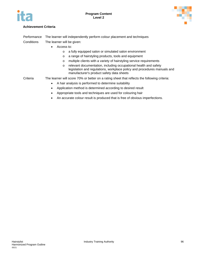



### **Achievement Criteria**

Performance The learner will independently perform colour placement and techniques Conditions The learner will be given:

- Access to:
	- o a fully equipped salon or simulated salon environment
	- o a range of hairstyling products, tools and equipment
	- o multiple clients with a variety of hairstyling service requirements
	- o relevant documentation, including occupational health and safety legislation and regulations, workplace policy and procedures manuals and manufacturer's product safety data sheets

Criteria The learner will score 70% or better on a rating sheet that reflects the following criteria:

- A hair analysis is performed to determine suitability
- Application method is determined according to desired result
- Appropriate tools and techniques are used for colouring hair
- An accurate colour result is produced that is free of obvious imperfections.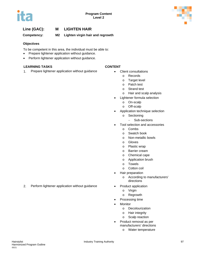

# **Line (GAC): M LIGHTEN HAIR**

**Competency: M2 Lighten virgin hair and regrowth**

#### **Objectives**

To be competent in this area, the individual must be able to:

- Prepare lightener application without guidance.
- Perform lightener application without guidance.

#### **LEARNING TASKS CONTENT**

1. Prepare lightener application without guidance • Client consultations

- - o Records
	- o Target level
	- o Patch test
	- o Strand test
	- o Hair and scalp analysis
- Lightener formula selection
	- o On-scalp
	- o Off-scalp
- Application technique selection
	- o Sectioning
		- − Sub-sections
- Tool selection and accessories
	- o Combs
	- o Swatch book
	- o Non-metallic bowls
	- o Gloves
	- o Plastic wrap
	- o Barrier cream
	- o Chemical cape
	- o Application brush
	- o Towels
	- o Cotton coil
- Hair preparation
	- o According to manufacturers' directions
- - o Virgin
	- o Regrowth
- Processing time
- **Monitor** 
	- o Decolourization
	- o Hair integrity
	- o Scalp reaction
- Product removal as per manufacturers' directions
	- o Water temperature

2. Perform lightener application without guidance • Product application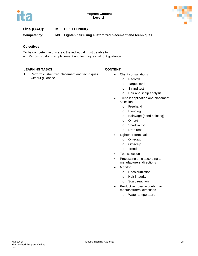

# **Line (GAC): M LIGHTENING**

**Competency: M3 Lighten hair using customized placement and techniques**

#### **Objectives**

To be competent in this area, the individual must be able to:

• Perform customized placement and techniques without guidance.

#### **LEARNING TASKS CONTENT**

1. Perform customized placement and techniques without guidance.

- Client consultations
	- o Records
	- o Target level
	- o Strand test
	- o Hair and scalp analysis
- Trends: application and placement selection
	- o Freehand
	- o Blending
	- o Balayage (hand painting)
	- o Ombré
	- o Shadow root
	- o Drop root
- Lightener formulation
	- o On-scalp
	- o Off-scalp
	- o Trends
- Tool selection
- Processing time according to manufacturers' directions
- **Monitor** 
	- o Decolourization
	- o Hair integrity
	- o Scalp reaction
- Product removal according to manufacturers' directions
	- o Water temperature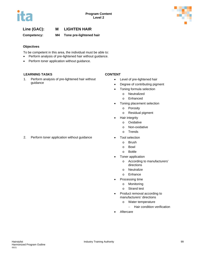

# **Line (GAC): M LIGHTEN HAIR**

**Competency: M4 Tone pre-lightened hair**

### **Objectives**

To be competent in this area, the individual must be able to:

- Perform analysis of pre-lightened hair without guidance.
- Perform toner application without guidance.

### **LEARNING TASKS CONTENT**

1. Perform analysis of pre-lightened hair without guidance

- Level of pre-lightened hair
- Degree of contributing pigment
- Toning formula selection
	- o Neutralized
	- o Enhanced
- Toning placement selection
	- o Porosity
	- o Residual pigment
- Hair integrity
	- o Oxidative
		- o Non-oxidative
	- o Trends
- 2. Perform toner application without guidance Tool selection
	- o Brush
	- o Bowl
	- o Bottle
	- Toner application
		- o According to manufacturers' directions
		- o Neutralize
		- o Enhance
	- Processing time
		- o Monitoring
		- o Strand test
	- Product removal according to manufacturers' directions
		- o Water temperature
			- − Hair condition verification
	- **Aftercare**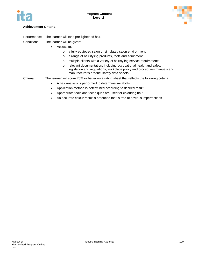



### **Achievement Criteria**

Performance The learner will tone pre-lightened hair.

Conditions The learner will be given:

- Access to:
	- o a fully equipped salon or simulated salon environment
	- o a range of hairstyling products, tools and equipment
	- o multiple clients with a variety of hairstyling service requirements
	- o relevant documentation, including occupational health and safety legislation and regulations, workplace policy and procedures manuals and manufacturer's product safety data sheets

Criteria The learner will score 70% or better on a rating sheet that reflects the following criteria:

- A hair analysis is performed to determine suitability
- Application method is determined according to desired result
- Appropriate tools and techniques are used for colouring hair
- An accurate colour result is produced that is free of obvious imperfections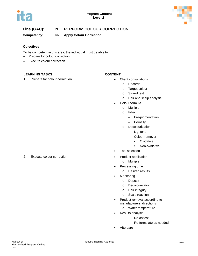



# **Line (GAC): N PERFORM COLOUR CORRECTION**

**Competency: N2 Apply Colour Correction**

### **Objectives**

To be competent in this area, the individual must be able to:

- Prepare for colour correction.
- Execute colour correction.

### **LEARNING TASKS CONTENT**

1. Prepare for colour correction **•** Client consultations

- - o Records
		- o Target colour
		- o Strand test
		- o Hair and scalp analysis
- Colour formula
	- o Multiple
	- o Filler
		- − Pre-pigmentation
		- − Porosity
	- o Decolourization
		- − Lightener
		- − Colour remover
			- **-** Oxidative
			- **Non-oxidative**
- Tool selection
- - o Multiple
- Processing time
	- o Desired results
- Monitoring
	- o Deposit
	- o Decolourization
	- o Hair integrity
	- o Scalp reaction
- Product removal according to manufacturers' directions
	- o Water temperature
- Results analysis
	- − Re-assess
		- − Re-formulate as needed
- Aftercare

2. Execute colour correction **•** Product application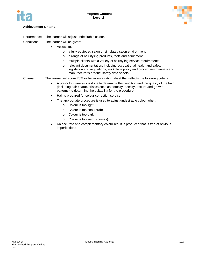



### **Achievement Criteria**

| Performance | The learner will adjust undesirable colour.                                                                                                                                                                                            |  |  |
|-------------|----------------------------------------------------------------------------------------------------------------------------------------------------------------------------------------------------------------------------------------|--|--|
| Conditions  | The learner will be given:                                                                                                                                                                                                             |  |  |
|             | Access to:                                                                                                                                                                                                                             |  |  |
|             | a fully equipped salon or simulated salon environment<br>$\circ$                                                                                                                                                                       |  |  |
|             | a range of hairstyling products, tools and equipment<br>$\circ$                                                                                                                                                                        |  |  |
|             | multiple clients with a variety of hairstyling service requirements<br>$\circ$                                                                                                                                                         |  |  |
|             | relevant documentation, including occupational health and safety<br>$\circ$<br>legislation and regulations, workplace policy and procedures manuals and<br>manufacturer's product safety data sheets                                   |  |  |
| Criteria    | The learner will score 70% or better on a rating sheet that reflects the following criteria:                                                                                                                                           |  |  |
|             | A pre-colour analysis is done to determine the condition and the quality of the hair<br>٠<br>(including hair characteristics such as porosity, density, texture and growth<br>patterns) to determine the suitability for the procedure |  |  |
|             | Hair is prepared for colour correction service<br>$\bullet$                                                                                                                                                                            |  |  |
|             | The appropriate procedure is used to adjust undesirable colour when:<br>٠                                                                                                                                                              |  |  |
|             | Colour is too light<br>$\circ$                                                                                                                                                                                                         |  |  |
|             | Colour is too cool (drab)<br>$\circ$                                                                                                                                                                                                   |  |  |
|             | Colour is too dark<br>$\circ$                                                                                                                                                                                                          |  |  |

- o Colour is too warm (brassy)
- An accurate and complementary colour result is produced that is free of obvious imperfections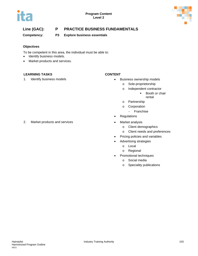

# **Line (GAC): P PRACTICE BUSINESS FUNDAMENTALS**

**Competency: P3 Explore business essentials**

### **Objectives**

To be competent in this area, the individual must be able to:

- Identify business models.
- Market products and services.

### **LEARNING TASKS CONTENT**

- 1. Identify business models **business in the set of the set of the set of the set of the set of the set of the set of the set of the set of the set of the set of the set of the set of the set of the set of the set of the s** 
	- o Sole-proprietorship
	- o Independent contractor
		- **Booth or chair** rental
	- o Partnership
	- o Corporation
		- − Franchise
	- Regulations
- 2. Market products and services **•** Market analysis
	- o Client demographics
	- o Client needs and preferences
	- Pricing policies and variables
	- Advertising strategies
		- o Local
		- o Regional
	- Promotional techniques
		- o Social media
		- o Speciality publications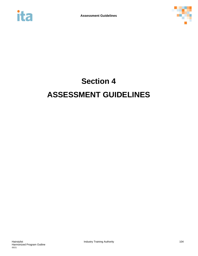



# **Section 4 ASSESSMENT GUIDELINES**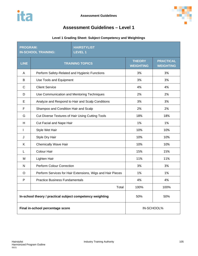

# **Assessment Guidelines – Level 1**

## **Level 1 Grading Sheet: Subject Competency and Weightings**

| <b>PROGRAM:</b> | <b>IN-SCHOOL TRAINING:</b>                                | <b>HAIRSTYLIST</b><br><b>LEVEL 1</b>                       |                                   |                                      |
|-----------------|-----------------------------------------------------------|------------------------------------------------------------|-----------------------------------|--------------------------------------|
| <b>LINE</b>     |                                                           | <b>TRAINING TOPICS</b>                                     | <b>THEORY</b><br><b>WEIGHTING</b> | <b>PRACTICAL</b><br><b>WEIGHTING</b> |
| A               | Perform Safety-Related and Hygienic Functions             |                                                            | 3%                                | 3%                                   |
| В               | Use Tools and Equipment                                   |                                                            | 3%                                | 3%                                   |
| $\mathsf{C}$    | <b>Client Service</b>                                     |                                                            | 4%                                | 4%                                   |
| D               | Use Communication and Mentoring Techniques                |                                                            | 2%                                | 2%                                   |
| Е               |                                                           | Analyze and Respond to Hair and Scalp Conditions           | 3%                                | 3%                                   |
| F               | Shampoo and Condition Hair and Scalp                      |                                                            | 2%                                | 2%                                   |
| G               |                                                           | Cut Diverse Textures of Hair Using Cutting Tools           | 18%                               | 18%                                  |
| H               | Cut Facial and Nape Hair                                  |                                                            | 1%                                | 1%                                   |
| $\mathsf{I}$    | Style Wet Hair                                            |                                                            | 10%                               | 10%                                  |
| J               | Style Dry Hair                                            |                                                            | 10%                               | 10%                                  |
| Κ               | <b>Chemically Wave Hair</b>                               |                                                            | 10%                               | 10%                                  |
| L               | <b>Colour Hair</b>                                        |                                                            | 15%                               | 15%                                  |
| M               | Lighten Hair                                              |                                                            | 11%                               | 11%                                  |
| $\mathsf{N}$    | <b>Perform Colour Correction</b>                          |                                                            | 3%                                | 3%                                   |
| O               |                                                           | Perform Services for Hair Extensions, Wigs and Hair Pieces | 1%                                | 1%                                   |
| P               | <b>Practice Business Fundamentals</b>                     |                                                            | 4%                                | 4%                                   |
|                 |                                                           | Total                                                      | 100%                              | 100%                                 |
|                 | In-school theory / practical subject competency weighting |                                                            | 50%                               | 50%                                  |
|                 | Final in-school percentage score                          |                                                            |                                   | IN-SCHOOL%                           |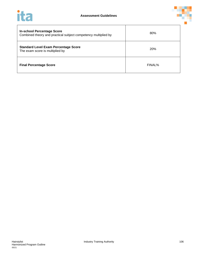



| <b>In-school Percentage Score</b><br>Combined theory and practical subject competency multiplied by | 80%        |
|-----------------------------------------------------------------------------------------------------|------------|
| <b>Standard Level Exam Percentage Score</b><br>The exam score is multiplied by                      | <b>20%</b> |
| <b>Final Percentage Score</b>                                                                       | FINAL%     |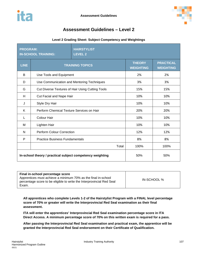

# **Assessment Guidelines – Level 2**

### **Level 2 Grading Sheet: Subject Competency and Weightings**

| <b>PROGRAM:</b> | <b>IN-SCHOOL TRAINING:</b>                                | <b>HAIRSTYLIST</b><br><b>LEVEL 2</b>             |                                   |                                      |
|-----------------|-----------------------------------------------------------|--------------------------------------------------|-----------------------------------|--------------------------------------|
| <b>LINE</b>     |                                                           | <b>TRAINING TOPICS</b>                           | <b>THEORY</b><br><b>WEIGHTING</b> | <b>PRACTICAL</b><br><b>WEIGHTING</b> |
| B               | Use Tools and Equipment                                   |                                                  | 2%                                | 2%                                   |
| D               | Use Communication and Mentoring Techniques                |                                                  | 3%                                | 3%                                   |
| G               |                                                           | Cut Diverse Textures of Hair Using Cutting Tools | 15%                               | 15%                                  |
| H               | Cut Facial and Nape Hair                                  |                                                  | 10%                               | 10%                                  |
| J               | Style Dry Hair                                            |                                                  | 10%                               | 10%                                  |
| K               | Perform Chemical Texture Services on Hair                 |                                                  | 20%                               | 20%                                  |
| L               | <b>Colour Hair</b>                                        |                                                  | 10%                               | 10%                                  |
| м               | Lighten Hair                                              |                                                  | 10%                               | 10%                                  |
| N               | <b>Perform Colour Correction</b>                          |                                                  | 12%                               | 12%                                  |
| P               | <b>Practice Business Fundamentals</b>                     |                                                  | 8%                                | 8%                                   |
|                 |                                                           | Total                                            | 100%                              | 100%                                 |
|                 | In-school theory / practical subject competency weighting |                                                  | 50%                               | 50%                                  |

| Apprentices must achieve a minimum 70% as the final in-school<br>percentage score to be eligible to write the Interprovincial Red Seal<br>Exam. | IN-SCHOOL % |
|-------------------------------------------------------------------------------------------------------------------------------------------------|-------------|
|-------------------------------------------------------------------------------------------------------------------------------------------------|-------------|

**All apprentices who complete Levels 1-2 of the Hairstylist Program with a FINAL level percentage score of 70% or greater will write the Interprovincial Red Seal examination as their final assessment.** 

**ITA will enter the apprentices' Interprovincial Red Seal examination percentage score in ITA Direct Access. A minimum percentage score of 70% on this written exam is required for a pass.** 

**After passing the Interprovincial Red Seal examination and practical exam, the apprentice will be granted the Interprovincial Red Seal endorsement on their Certificate of Qualification.**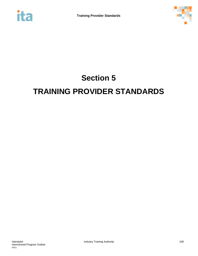



# **Section 5 TRAINING PROVIDER STANDARDS**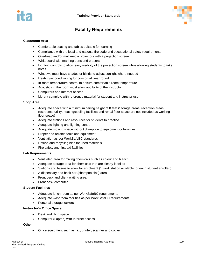



## **Facility Requirements**

#### **Classroom Area**

- Comfortable seating and tables suitable for learning
- Compliance with the local and national fire code and occupational safety requirements
- Overhead and/or multimedia projectors with a projection screen
- Whiteboard with marking pens and erasers
- Lighting controls to allow easy visibility of the projection screen while allowing students to take notes
- Windows must have shades or blinds to adjust sunlight where needed
- Heating/air conditioning for comfort all year round
- In-room temperature control to ensure comfortable room temperature
- Acoustics in the room must allow audibility of the instructor
- Computers and Internet access
- Library complete with reference material for student and instructor use

#### **Shop Area**

- Adequate space with a minimum ceiling height of 8 feet (Storage areas, reception areas, restrooms, utility, heating/cooling facilities and rental floor space are not included as working floor space)
- Adequate stations and resources for students to practice
- Adequate lighting and lighting control
- Adequate moving space without disruption to equipment or furniture
- Proper and reliable tools and equipment
- Ventilation as per WorkSafeBC standards
- Refuse and recycling bins for used materials
- Fire safety and first-aid facilities

#### **Lab Requirements**

- Ventilated area for mixing chemicals such as colour and bleach
- Adequate storage area for chemicals that are clearly labelled
- Stations and basins to allow for enrolment (1 work station available for each student enrolled)
- A dispensary and back bar (shampoo sink) area
- Front desk and client waiting area
- Front desk computer

#### **Student Facilities**

- Adequate lunch room as per WorkSafeBC requirements
- Adequate washroom facilities as per WorkSafeBC requirements
- Personal storage lockers

#### **Instructor's Office Space**

- Desk and filing space
- Computer (Laptop) with Internet access

#### **Other**

• Office equipment such as fax, printer, scanner and copier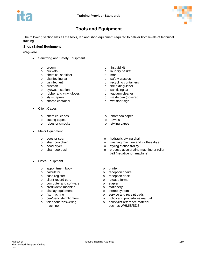

## **Tools and Equipment**

The following section lists all the tools, lab and shop equipment required to deliver both levels of technical training.

#### **Shop (Salon) Equipment**

#### *Required*

- Sanitizing and Safety Equipment
	-
	-
	- o chemical sanitizer<br>
	o disinfecting jar<br>
	o safety glasses
	- o disinfecting jar<br>o disinfectant
	-
	-
	- o dustpan<br>
	o eyewash station<br>
	o sanitizing jar
	- o eyewash station<br>
	o rubber and vinyl gloves<br>
	o vacuum cleaner o rubber and vinyl gloves o vacuum control o vacuum control o vacuum control o vacuum control o vacuum control o
	-
	- sharps container
- **Client Capes** 
	- o chemical capes o shampoo capes<br>
	o cutting capes o solution o solution o solution o towels
	- o cutting capes<br>
	o robes or smocks<br>
	o styling capes
	- $\circ$  robes or smocks  $\circ$
- Major Equipment
	-
	-
	-
	-
- **Office Equipment** 
	- o appointment book o printer<br>
	o calculator o calculator
	-
	-
	-
	- o client record card<br>
	o computer and software<br>
	o stapler computer and software o stapler<br>
	o stationery<br>
	o stationery
	- o credit/debit machine<br>
	o display equipment<br>
	o stereo system
	- $\circ$  display equipment<br> $\circ$  fax machine
	-
	-
	- telephone/answering machine
- o broom o first aid kit<br>
o buckets o laundry ba
	- laundry basket<br>mop
	-
	-
	- disinfectant o recycling containers<br>dustpan o fire extinguisher
		-
		-
		-
- o stylist apron o waste can (covered)<br>
o sharps container container o wet floor sign
	-
	-
	-
	-
- o booster seat o hydraulic styling chair<br>
o shampoo chair o washing machine and
- o shampoo chair comes comes a washing machine and clothes dryer<br>
o hood dryer<br>
o styling station trolley
- o hood dryer o styling station trolley<br>
o shampoo basin o process accelerating
	- process accelerating machine or roller ball (negative ion machine)
	-
- o calculator o reception chairs<br>
o cash register **by the contract of the cash register** o reception desk
	- o reception desk<br>o release forms
	-
	-
	-
	-
- o fax machine<br>
o service and receipt pads<br>
o policy and procedures may
- o pen/pencil/highlighters o policy and procedures manual<br>o telephone/answering o chairstylist reference material
	- o hairstylist reference material such as WHMIS/SDS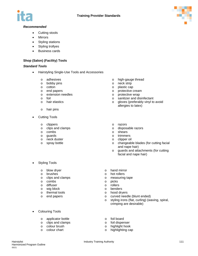



#### *Recommended*

- Cutting stools
- **Mirrors**
- Styling stations
- Styling trollyes
- Business cards

#### **Shop (Salon) (Facility) Tools**

#### *Standard Tools*

- Hairstyling Single-Use Tools and Accessories
	-
	- o bobby pins o o neck strip o neck strip o o neck strip o o o o o o o o
	-
	- o end papers<br>
	o extension needles<br>
	o protective wrap<br>
	o protective wrap
	- extension needles<br>
	foil and containing to protective wrap<br>  $\alpha$  sanitizer and distribution of the sanitizer and distribution of the sanitizer and distribution of the sanitizer and distribution of the sanitizer and distribu
	-
	-
	- o hair pins
	- **Cutting Tools** 
		-
		- o clippers o razors<br>
		o clips and clamps o clips and clamps o clips and clamps o clispos
		- o combs<br>o quards
		-
		- o neck duster<br>o spray bottle
		-
- **Styling Tools** 
	-
	-
	- o brushes<br>
	o clips and clamps<br>
	o measuring tape clips and clamps o measurements of the combs of the combine of the combine of the combine of the combine of the combine of the combine of the combine of the combine of the combine of the combine of the combine of the combi
	-
	- o combs o picks diffuser
	-
	- o wig block<br>o thermal to
	- o thermal tools<br>o end papers
- Colouring Tools
	- o applicator bottle o foil board<br>
	o clips and clamps o foil dispenser
	- clips and clamps<br>colour brush
	-
	-
- o adhesives o high-gauge thread<br>
o hobby pins o heck strip
	-
	-
	- o cotton o plastic cap<br>
	end papers<br>
	o protective o
		-
		-
- o foil<br>
o hair elastics<br>
o hair elastics<br>
o dloves (preferably vinyl to o hair elastics o gloves (preferably vinyl to avoid allergies to latex)
	-
	- o disposable razors<br>o shears
	-
	- o trimmers<br>o clipper oil
	-
- o spray bottle **of changeable blades** (for cutting facial and nape hair)
	- o guards and attachments (for cutting facial and nape hair)
- o blow dryer and mirror o hand mirror o hand mirror o hand mirror o hand mirror o hand mirror o hand mirror o <br>
o hot rollers
	-
	-
	-
	-
	- o benders
	- o hood dryers
	- o curved needle (blunt ended)<br>
	o styling irons (flat. curling) (wa
	- styling irons (flat, curling) (waving, spiral, crimping are desirable)
	-
	-
- o colour brush o highlight hook<br>
o colour chart colour chart o highlight hook<br>
o highlight in the colour chart
	- o highlighting cap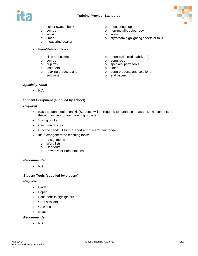



- o colour swatch book o measuring cups<br>
o combs<br>
o non-metallic colo
- 
- o whisk o scale
- 
- o measuring beaker
- Perm/Relaxing Tools
	-
	- $\circ$  combs  $\circ$  drip tray
	-
	-
	- o fasteners o time<br>o relaxing products and o contact of o relaxing products and solutions
- 
- o combs o non-metallic colour bowl<br>
o whisk o scale o scale
	-
- o timer o styrofoam highlighting sheets or foils
- o clips and clamps o perm picks (rod stabilizers) o combs<br>
o perm rods
	-
	- $\circ$  specialty perm tools<br> $\circ$  timer
	-
	- o perm products and solutions
	- o end papers

#### *Specialty Tools*

• N/A

#### **Student Equipment (supplied by school)**

#### *Required*

- Basic student equipment kit (Students will be required to purchase a basic kit. The contents of the kit may vary for each training provider.)
- Styling books
- Client magazines
- Practice heads (1 long, 1 short and 1 men's hair model)
- Instructor generated teaching tools:
	- o Assignments
	- o Word lists
	- o Handouts
	- o PowerPoint Presentations

#### *Recommended*

• N/A

#### **Student Tools (supplied by student)**

#### *Required*

- Binder
- Paper
- Pens/pencils/highlighters
- Craft scissors
- Glue stick
- Eraser

#### *Recommended*

• N/A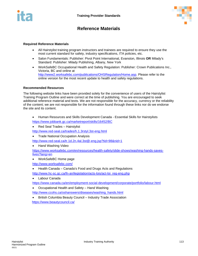



### **Reference Materials**

#### **Required Reference Materials**

- All Hairstylist training program instructors and trainees are required to ensure they use the most current standard for safety, industry specifications, ITA policies, etc.
- Salon Fundamentals: Publisher: Pivot Point International, Evanston, Illinois **OR** Milady's Standard: Publisher: Milady Publishing, Albany, New York
- WorkSafeBC Occupational Health and Safety Regulation: Publisher: Crown Publications Inc., Victoria, BC and online at [http://www2.worksafebc.com/publications/OHSRegulation/Home.asp.](http://www2.worksafebc.com/publications/OHSRegulation/Home.asp) Please refer to the online version for the most recent update to health and safety regulations.

#### **Recommended Resources**

The following website links have been provided solely for the convenience of users of the Hairstylist Training Program Outline and were correct at the time of publishing. You are encouraged to seek additional reference material and texts. We are not responsible for the accuracy, currency or the reliability of the content; we are not responsible for the information found through these links nor do we endorse the site and its content.

- Human Resources and Skills Development Canada Essential Skills for Hairstylists <https://www.jobbank.gc.ca/marketreport/skills/16452/BC>
- Red Seal Trades Hairstylist

<http://www.red-seal.ca/trades/h.1.3rstyl.3st-eng.html>

• Trade National Occupation Analysis

<http://www.red-seal.ca/tr.1d.2n.4al.3st@-eng.jsp?tid=98&nid=1>

• Hand Washing Video

[https://www.worksafebc.com/en/resources/health-safety/slide-shows/washing-hands-saves](https://www.worksafebc.com/en/resources/health-safety/slide-shows/washing-hands-saves-lives?lang=en)[lives?lang=en](https://www.worksafebc.com/en/resources/health-safety/slide-shows/washing-hands-saves-lives?lang=en)

• WorkSafeBC Home page

<http://www.worksafebc.com/>

• Health Canada – Canada's Food and Drugs Acts and Regulations

[http://www.hc-sc.gc.ca/fn-an/legislation/acts-lois/act-loi\\_reg-eng.php](http://www.hc-sc.gc.ca/fn-an/legislation/acts-lois/act-loi_reg-eng.php)

• Labour Canada

<https://www.canada.ca/en/employment-social-development/corporate/portfolio/labour.html>

• Occupational Health and Safety – Hand Washing

[http://www.ccohs.ca/oshanswers/diseases/washing\\_hands.html](http://www.ccohs.ca/oshanswers/diseases/washing_hands.html)

• British Columbia Beauty Council – Industry Trade Association <https://www.beautycouncil.ca/>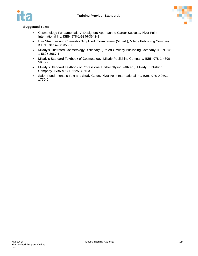

#### **Suggested Texts**

- Cosmetology Fundamentals: A Designers Approach to Career Success, Pivot Point International Inc. ISBN 978-1-9346-3642-8
- Hair Structure and Chemistry Simplified, Exam review (5th ed.), Milady Publishing Company. ISBN 978-14283-3560-8.
- Milady's Illustrated Cosmetology Dictionary, (3rd ed.), Milady Publishing Company. ISBN 978- 1-5625-3667-1
- Milady's Standard Textbook of Cosmetology, Milady Publishing Company. ISBN 978-1-4390- 5930-2.
- Milady's Standard Textbook of Professional Barber Styling, (4th ed.), Milady Publishing Company. ISBN 978-1-5625-3366-3.
- Salon Fundamentals Text and Study Guide, Pivot Point International Inc. ISBN 978-0-9701- 1770-0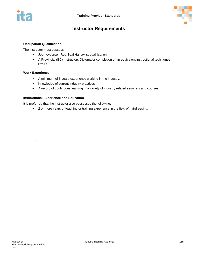



## **Instructor Requirements**

#### **Occupation Qualification**

The instructor must possess:

- Journeyperson Red Seal Hairstylist qualification.
- A Provincial (BC) Instructors Diploma or completion of an equivalent instructional techniques program.

#### **Work Experience**

.

- A minimum of 5 years experience working in the industry.
- Knowledge of current industry practices.
- A record of continuous learning in a variety of industry related seminars and courses.

#### **Instructional Experience and Education**

It is preferred that the instructor also possesses the following:

• 2 or more years of teaching or training experience in the field of hairdressing.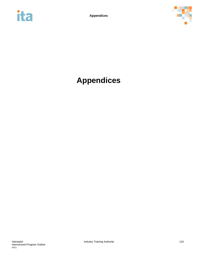



## **Appendices**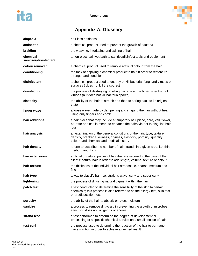

## **Appendix A: Glossary**

| alopecia                           | hair loss baldness                                                                                                                                                                        |
|------------------------------------|-------------------------------------------------------------------------------------------------------------------------------------------------------------------------------------------|
| antiseptic                         | a chemical product used to prevent the growth of bacteria                                                                                                                                 |
| braiding                           | the weaving, interlacing and twining of hair                                                                                                                                              |
| chemical<br>sanitizer/disinfectant | a non-electrical, wet bath to sanitize/disinfect tools and equipment                                                                                                                      |
| colour remover                     | a chemical product used to remove artificial colour from the hair                                                                                                                         |
| conditioning                       | the task of applying a chemical product to hair in order to restore its<br>strength and condition                                                                                         |
| disinfectant                       | a chemical product used to destroy or kill bacteria, fungi and viruses on<br>surfaces (does not kill the spores)                                                                          |
| disinfecting                       | the process of destroying or killing bacteria and a broad spectrum of<br>viruses (but does not kill bacteria spores)                                                                      |
| elasticity                         | the ability of the hair to stretch and then to spring back to its original<br>state                                                                                                       |
| finger wave                        | a loose wave made by dampening and shaping the hair without heat,<br>using only fingers and comb                                                                                          |
| hair additions                     | a hair piece that may include a temporary hair piece, tiara, veil, flower,<br>barrette or pin; it is meant to enhance the hairstyle not to disguise hair<br>loss                          |
| hair analysis                      | an examination of the general conditions of the hair: type, texture,<br>density, breakage, oiliness, dryness, elasticity, porosity, quantity,<br>colour, and chemical and medical history |
| hair density                       | a term to describe the number of hair strands in a given area; i.e. thin,<br>medium and thick                                                                                             |
| hair extensions                    | artificial or natural pieces of hair that are secured to the base of the<br>clients' natural hair in order to add length, volume, texture or colour                                       |
| hair texture                       | the thickness of the individual hair strands; i.e. coarse, medium and<br>fine                                                                                                             |
| hair type                          | a way to classify hair; i.e. straight, wavy, curly and super curly                                                                                                                        |
| lightening                         | the process of diffusing natural pigment within the hair                                                                                                                                  |
| patch test                         | a test conducted to determine the sensitivity of the skin to certain<br>chemicals; this process is also referred to as the allergy test, skin test<br>or predisposition test              |
| porosity                           | the ability of the hair to absorb or reject moisture                                                                                                                                      |
| sanitize                           | a process to remove dirt to aid in preventing the growth of microbes;<br>sanitizing does not kill germs or spores                                                                         |
| strand test                        | a test performed to determine the degree of development or<br>processing of a specific chemical service on a small section of hair                                                        |
| test curl                          | the process used to determine the reaction of the hair to permanent<br>wave solution in order to achieve a desired result                                                                 |